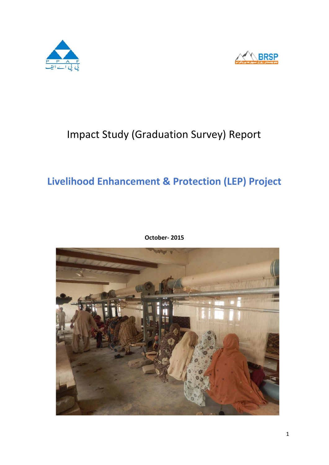



# Impact Study (Graduation Survey) Report

# **Livelihood Enhancement & Protection (LEP) Project**



**October- 2015**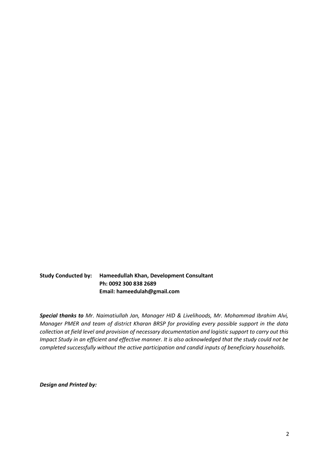**Study Conducted by: Hameedullah Khan, Development Consultant Ph: 0092 300 838 2689 Email: hameedulah@gmail.com**

*Special thanks to Mr. Naimatiullah Jan, Manager HID & Livelihoods, Mr. Mohammad Ibrahim Alvi, Manager PMER and team of district Kharan BRSP for providing every possible support in the data collection at field level and provision of necessary documentation and logistic support to carry out this Impact Study in an efficient and effective manner. It is also acknowledged that the study could not be completed successfully without the active participation and candid inputs of beneficiary households.*

*Design and Printed by:*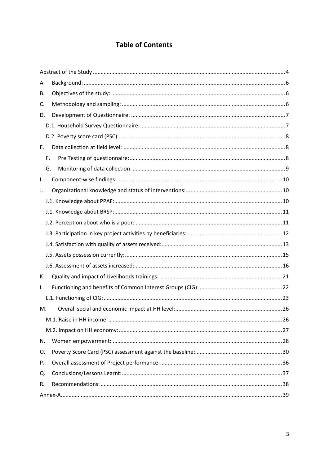# **Table of Contents**

| А. |  |
|----|--|
| В. |  |
| C. |  |
| D. |  |
|    |  |
|    |  |
| Е. |  |
| F. |  |
| G. |  |
| I. |  |
| J. |  |
|    |  |
|    |  |
|    |  |
|    |  |
|    |  |
|    |  |
|    |  |
| К. |  |
| L. |  |
|    |  |
| M. |  |
|    |  |
|    |  |
| N. |  |
| O. |  |
| P. |  |
| Q. |  |
| R. |  |
|    |  |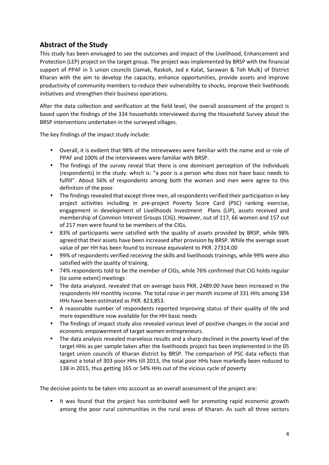## **Abstract of the Study**

This study has been envisaged to see the outcomes and impact of the Livelihood, Enhancement and Protection (LEP) project on the target group. The project was implemented by BRSP with the financial support of PPAF in 5 union councils (Jamak, Raskoh, Jod e Kalat, Sarawan & Toh Mulk) of District Kharan with the aim to develop the capacity, enhance opportunities, provide assets and improve productivity of community members to reduce their vulnerability to shocks, improve their livelihoods initiatives and strengthen their business operations.

After the data collection and verification at the field level, the overall assessment of the project is based upon the findings of the 334 households interviewed during the Household Survey about the BRSP interventions undertaken in the surveyed villages.

The key findings of the impact study include:

- Overall, it is evdient that 98% of the intrevewees were familiar with the name and or role of PPAF and 100% of the interviewees were familiar with BRSP.
- The findings of the survey reveal that there is one dominant perception of the individuals (respondents) in the study: which is: "a poor is a person who does not have basic needs to fulfill". About 56% of respondents among both the women and men were agree to this definition of the poor.
- The findings revealed that except three men, all respondents verified their participation in key project activities including in pre-project Poverty Score Card (PSC) ranking exercise, engagement in development of Livelihoods Investment Plans (LIP), assets received and membership of Common Interest Groups (CIG). However, out of 117, 66 women and 157 out of 217 men were found to be members of the CIGs.
- 83% of participants were satisfied with the quality of assets provided by BRSP, while 98% agreed that their assets have been increased after provision by BRSP. While the average asset value of per HH has been found to increase equivalent to PKR. 27314.00
- 99% of respondents verified receiving the skills and livelihoods trainings, while 99% were also satisfied with the quality of training.
- 74% respondents told to be the member of CIGs, while 76% confirmed that CIG holds regular (to some extent) meetings
- The data analyzed, revealed that on average basis PKR. 2489.00 have been increased in the respondents HH monthly income. The total raise in per month income of 331 HHs among 334 HHs have been estimated as PKR. 823,853.
- A reasonable number of respondents reported improving status of their quality of life and more expenditure now available for the HH basic needs
- The findings of impact study also revealed various level of positive changes in the social and economic empowerment of target women entrepreneurs.
- The data analysis revealed marvelous results and a sharp declined in the poverty level of the target HHs as per sample taken after the livelihoods project has been implemented in the 05 target union councils of Kharan district by BRSP. The comparison of PSC data reflects that against a total of 303 poor HHs till 2013, the total poor HHs have markedly been reduced to 138 in 2015, thus getting 165 or 54% HHs out of the vicious cycle of poverty

The decisive points to be taken into account as an overall assessment of the project are:

 It was found that the project has contributed well for promoting rapid economic growth among the poor rural communities in the rural areas of Kharan. As such all three sectors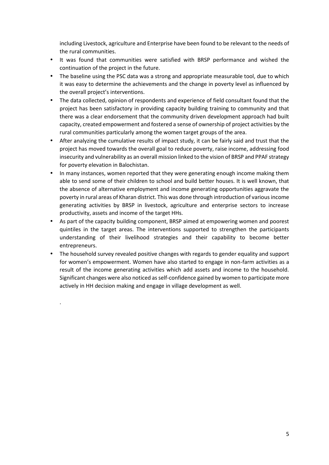including Livestock, agriculture and Enterprise have been found to be relevant to the needs of the rural communities.

- It was found that communities were satisfied with BRSP performance and wished the continuation of the project in the future.
- The baseline using the PSC data was a strong and appropriate measurable tool, due to which it was easy to determine the achievements and the change in poverty level as influenced by the overall project's interventions.
- The data collected, opinion of respondents and experience of field consultant found that the project has been satisfactory in providing capacity building training to community and that there was a clear endorsement that the community driven development approach had built capacity, created empowerment and fostered a sense of ownership of project activities by the rural communities particularly among the women target groups of the area.
- After analyzing the cumulative results of impact study, it can be fairly said and trust that the project has moved towards the overall goal to reduce poverty, raise income, addressing food insecurity and vulnerability as an overall mission linked to the vision of BRSP and PPAF strategy for poverty elevation in Balochistan.
- In many instances, women reported that they were generating enough income making them able to send some of their children to school and build better houses. It is well known, that the absence of alternative employment and income generating opportunities aggravate the poverty in rural areas of Kharan district. This was done through introduction of various income generating activities by BRSP in livestock, agriculture and enterprise sectors to increase productivity, assets and income of the target HHs.
- As part of the capacity building component, BRSP aimed at empowering women and poorest quintiles in the target areas. The interventions supported to strengthen the participants understanding of their livelihood strategies and their capability to become better entrepreneurs.
- The household survey revealed positive changes with regards to gender equality and support for women's empowerment. Women have also started to engage in non-farm activities as a result of the income generating activities which add assets and income to the household. Significant changes were also noticed as self-confidence gained by women to participate more actively in HH decision making and engage in village development as well.

.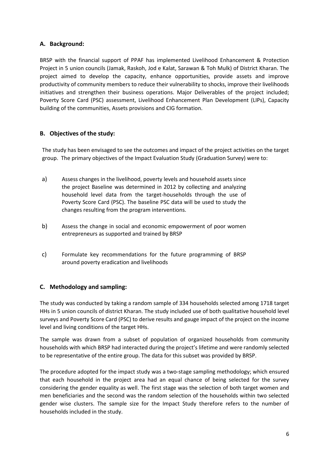## **A. Background:**

BRSP with the financial support of PPAF has implemented Livelihood Enhancement & Protection Project in 5 union councils (Jamak, Raskoh, Jod e Kalat, Sarawan & Toh Mulk) of District Kharan. The project aimed to develop the capacity, enhance opportunities, provide assets and improve productivity of community members to reduce their vulnerability to shocks, improve their livelihoods initiatives and strengthen their business operations. Major Deliverables of the project included; Poverty Score Card (PSC) assessment, Livelihood Enhancement Plan Development (LIPs), Capacity building of the communities, Assets provisions and CIG formation.

## **B. Objectives of the study:**

The study has been envisaged to see the outcomes and impact of the project activities on the target group. The primary objectives of the Impact Evaluation Study (Graduation Survey) were to:

- a) Assess changes in the livelihood, poverty levels and household assets since the project Baseline was determined in 2012 by collecting and analyzing household level data from the target-households through the use of Poverty Score Card (PSC). The baseline PSC data will be used to study the changes resulting from the program interventions.
- b) Assess the change in social and economic empowerment of poor women entrepreneurs as supported and trained by BRSP
- c) Formulate key recommendations for the future programming of BRSP around poverty eradication and livelihoods

## **C. Methodology and sampling:**

The study was conducted by taking a random sample of 334 households selected among 1718 target HHs in 5 union councils of district Kharan. The study included use of both qualitative household level surveys and Poverty Score Card (PSC) to derive results and gauge impact of the project on the income level and living conditions of the target HHs.

The sample was drawn from a subset of population of organized households from community households with which BRSP had interacted during the project's lifetime and were randomly selected to be representative of the entire group. The data for this subset was provided by BRSP.

The procedure adopted for the impact study was a two-stage sampling methodology; which ensured that each household in the project area had an equal chance of being selected for the survey considering the gender equality as well. The first stage was the selection of both target women and men beneficiaries and the second was the random selection of the households within two selected gender wise clusters. The sample size for the Impact Study therefore refers to the number of households included in the study.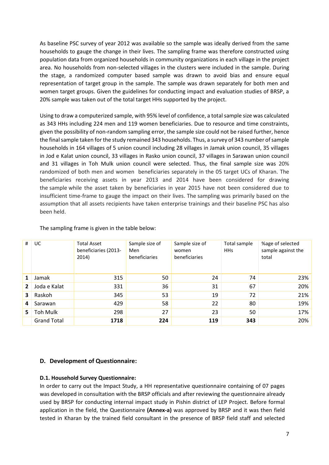As baseline PSC survey of year 2012 was available so the sample was ideally derived from the same households to gauge the change in their lives. The sampling frame was therefore constructed using population data from organized households in community organizations in each village in the project area. No households from non-selected villages in the clusters were included in the sample. During the stage, a randomized computer based sample was drawn to avoid bias and ensure equal representation of target group in the sample. The sample was drawn separately for both men and women target groups. Given the guidelines for conducting impact and evaluation studies of BRSP, a 20% sample was taken out of the total target HHs supported by the project.

Using to draw a computerized sample, with 95% level of confidence, a totalsample size was calculated as 343 HHs including 224 men and 119 women beneficiaries. Due to resource and time constraints, given the possibility of non-random sampling error, the sample size could not be raised further, hence the final sample taken for the study remained 343 households. Thus, a survey of 343 number of sample households in 164 villages of 5 union council including 28 villages in Jamak union council, 35 villages in Jod e Kalat union council, 33 villages in Rasko union council, 37 villages in Sarawan union council and 31 villages in Toh Mulk union council were selected. Thus, the final sample size was 20% randomized of both men and women beneficiaries separately in the 05 target UCs of Kharan. The beneficiaries receiving assets in year 2013 and 2014 have been considered for drawing the sample while the asset taken by beneficiaries in year 2015 have not been considered due to insufficient time-frame to gauge the impact on their lives. The sampling was primarily based on the assumption that all assets recipients have taken enterprise trainings and their baseline PSC has also been held.

| #            | UC.                | <b>Total Asset</b><br>beneficiaries (2013-<br>2014) | Sample size of<br>Men<br>beneficiaries | Sample size of<br>women<br>beneficiaries | Total sample<br><b>HHs</b> | %age of selected<br>sample against the<br>total |
|--------------|--------------------|-----------------------------------------------------|----------------------------------------|------------------------------------------|----------------------------|-------------------------------------------------|
| $\mathbf{1}$ | Jamak              | 315                                                 | 50                                     | 24                                       | 74                         | 23%                                             |
| $2^{\circ}$  | Joda e Kalat       | 331                                                 | 36                                     | 31                                       | 67                         | 20%                                             |
| 3            | Raskoh             | 345                                                 | 53                                     | 19                                       | 72                         | 21%                                             |
| 4            | Sarawan            | 429                                                 | 58                                     | 22                                       | 80                         | 19%                                             |
| 5.           | Toh Mulk           | 298                                                 | 27                                     | 23                                       | 50                         | 17%                                             |
|              | <b>Grand Total</b> | 1718                                                | 224                                    | 119                                      | 343                        | 20%                                             |

The sampling frame is given in the table below:

#### **D. Development of Questionnaire:**

#### **D.1. Household Survey Questionnaire:**

In order to carry out the Impact Study, a HH representative questionnaire containing of 07 pages was developed in consultation with the BRSP officials and after reviewing the questionnaire already used by BRSP for conducting internal impact study in Pishin district of LEP Project. Before formal application in the field, the Questionnaire **(Annex-a)** was approved by BRSP and it was then field tested in Kharan by the trained field consultant in the presence of BRSP field staff and selected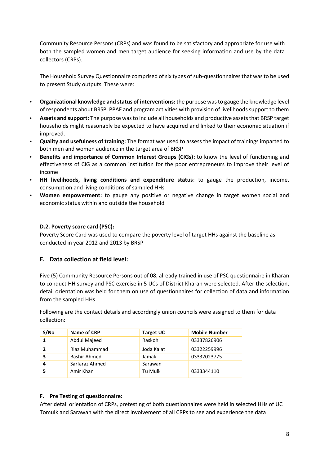Community Resource Persons (CRPs) and was found to be satisfactory and appropriate for use with both the sampled women and men target audience for seeking information and use by the data collectors (CRPs).

The Household Survey Questionnaire comprised of six types of sub-questionnaires that was to be used to present Study outputs. These were:

- **Organizational knowledge and status of interventions:** the purpose was to gauge the knowledge level of respondents about BRSP, PPAF and program activities with provision of livelihoods support to them
- **Assets and support:** The purpose wasto include all households and productive assets that BRSP target households might reasonably be expected to have acquired and linked to their economic situation if improved.
- **Quality and usefulness of training:** The format was used to assess the impact of trainings imparted to both men and women audience in the target area of BRSP
- **Benefits and importance of Common Interest Groups (CIGs):** to know the level of functioning and effectiveness of CIG as a common institution for the poor entrepreneurs to improve their level of income
- **HH livelihoods, living conditions and expenditure status**: to gauge the production, income, consumption and living conditions of sampled HHs
- **Women empowerment:** to gauge any positive or negative change in target women social and economic status within and outside the household

## **D.2. Poverty score card (PSC):**

Poverty Score Card was used to compare the poverty level of target HHs against the baseline as conducted in year 2012 and 2013 by BRSP

#### **E. Data collection at field level:**

Five (5) Community Resource Persons out of 08, already trained in use of PSC questionnaire in Kharan to conduct HH survey and PSC exercise in 5 UCs of District Kharan were selected. After the selection, detail orientation was held for them on use of questionnaires for collection of data and information from the sampled HHs.

Following are the contact details and accordingly union councils were assigned to them for data collection:

| S/No | Name of CRP    | <b>Target UC</b> | <b>Mobile Number</b> |
|------|----------------|------------------|----------------------|
|      | Abdul Majeed   | Raskoh           | 03337826906          |
| 2    | Riaz Muhammad  | Joda Kalat       | 03322259996          |
| 3    | Bashir Ahmed   | Jamak            | 03332023775          |
|      | Sarfaraz Ahmed | Sarawan          |                      |
|      | Amir Khan      | Tu Mulk          | 0333344110           |

#### **F. Pre Testing of questionnaire:**

After detail orientation of CRPs, pretesting of both questionnaires were held in selected HHs of UC Tomulk and Sarawan with the direct involvement of all CRPs to see and experience the data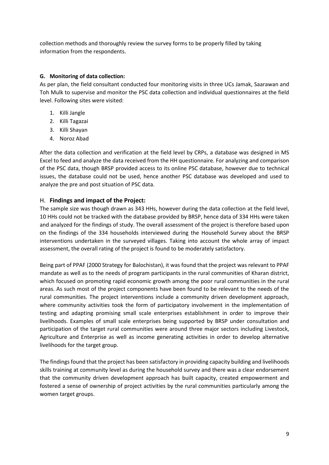collection methods and thoroughly review the survey forms to be properly filled by taking information from the respondents.

## **G. Monitoring of data collection:**

As per plan, the field consultant conducted four monitoring visits in three UCs Jamak, Saarawan and Toh Mulk to supervise and monitor the PSC data collection and individual questionnaires at the field level. Following sites were visited:

- 1. Killi Jangle
- 2. Killi Tagazai
- 3. Killi Shayan
- 4. Noroz Abad

After the data collection and verification at the field level by CRPs, a database was designed in MS Excel to feed and analyze the data received from the HH questionnaire. For analyzing and comparison of the PSC data, though BRSP provided access to its online PSC database, however due to technical issues, the database could not be used, hence another PSC database was developed and used to analyze the pre and post situation of PSC data.

## H. **Findings and impact of the Project:**

The sample size was though drawn as 343 HHs, however during the data collection at the field level, 10 HHs could not be tracked with the database provided by BRSP, hence data of 334 HHs were taken and analyzed for the findings of study. The overall assessment of the project is therefore based upon on the findings of the 334 households interviewed during the Household Survey about the BRSP interventions undertaken in the surveyed villages. Taking into account the whole array of impact assessment, the overall rating of the project is found to be moderately satisfactory.

Being part of PPAF (2000 Strategy for Balochistan), it was found that the project was relevant to PPAF mandate as well as to the needs of program participants in the rural communities of Kharan district, which focused on promoting rapid economic growth among the poor rural communities in the rural areas. As such most of the project components have been found to be relevant to the needs of the rural communities. The project interventions include a community driven development approach, where community activities took the form of participatory involvement in the implementation of testing and adapting promising small scale enterprises establishment in order to improve their livelihoods. Examples of small scale enterprises being supported by BRSP under consultation and participation of the target rural communities were around three major sectors including Livestock, Agriculture and Enterprise as well as income generating activities in order to develop alternative livelihoods for the target group.

The findings found that the project has been satisfactory in providing capacity building and livelihoods skills training at community level as during the household survey and there was a clear endorsement that the community driven development approach has built capacity, created empowerment and fostered a sense of ownership of project activities by the rural communities particularly among the women target groups.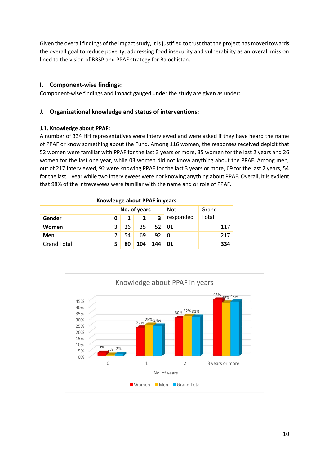Given the overall findings of the impact study, it is justified to trust that the project has moved towards the overall goal to reduce poverty, addressing food insecurity and vulnerability as an overall mission lined to the vision of BRSP and PPAF strategy for Balochistan.

## **I. Component-wise findings:**

Component-wise findings and impact gauged under the study are given as under:

## **J. Organizational knowledge and status of interventions:**

## **J.1. Knowledge about PPAF:**

A number of 334 HH representatives were interviewed and were asked if they have heard the name of PPAF or know something about the Fund. Among 116 women, the responses received depicit that 52 women were familiar with PPAF for the last 3 years or more, 35 women for the last 2 years and 26 women for the last one year, while 03 women did not know anything about the PPAF. Among men, out of 217 interviewed, 92 were knowing PPAF for the last 3 years or more, 69 for the last 2 years, 54 for the last 1 year while two interviewees were not knowing anything about PPAF. Overall, it is evdient that 98% of the intrevewees were familiar with the name and or role of PPAF.

| Knowledge about PPAF in years       |   |    |                |     |           |       |  |  |
|-------------------------------------|---|----|----------------|-----|-----------|-------|--|--|
| No. of years<br><b>Not</b><br>Grand |   |    |                |     |           |       |  |  |
| Gender                              |   | 1  | $\overline{2}$ | 3   | responded | Total |  |  |
| Women                               | 3 | 26 | 35             | 52  | 01        | 117   |  |  |
| <b>Men</b>                          |   | 54 | 69             | 92  | 0         | 217   |  |  |
| <b>Grand Total</b>                  | 5 | 80 | 104            | 144 | 01        | 334   |  |  |

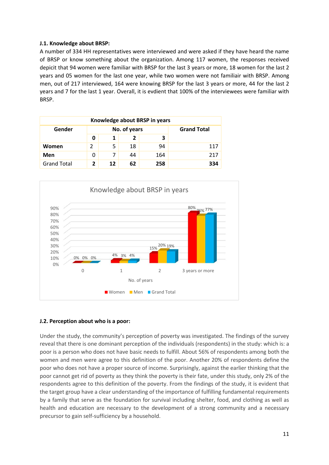## **J.1. Knowledge about BRSP:**

A number of 334 HH representatives were interviewed and were asked if they have heard the name of BRSP or know something about the organization. Among 117 women, the responses received depicit that 94 women were familiar with BRSP for the last 3 years or more, 18 women for the last 2 years and 05 women for the last one year, while two women were not familiair with BRSP. Among men, out of 217 interviewed, 164 were knowing BRSP for the last 3 years or more, 44 for the last 2 years and 7 for the last 1 year. Overall, it is evdient that 100% of the interviewees were familiar with BRSP.

| Knowledge about BRSP in years                |   |    |    |     |     |  |  |
|----------------------------------------------|---|----|----|-----|-----|--|--|
| <b>Grand Total</b><br>No. of years<br>Gender |   |    |    |     |     |  |  |
|                                              | 0 |    | 2  |     |     |  |  |
| Women                                        |   | 5  | 18 | 94  | 117 |  |  |
| Men                                          | 0 | 7  | 44 | 164 | 217 |  |  |
| <b>Grand Total</b>                           | 2 | 12 | 62 | 258 | 334 |  |  |



#### **J.2. Perception about who is a poor:**

Under the study, the community's perception of poverty was investigated. The findings of the survey reveal that there is one dominant perception of the individuals (respondents) in the study: which is: a poor is a person who does not have basic needs to fulfill. About 56% of respondents among both the women and men were agree to this definition of the poor. Another 20% of respondents define the poor who does not have a proper source of income. Surprisingly, against the earlier thinking that the poor cannot get rid of poverty as they think the poverty is their fate, under this study, only 2% of the respondents agree to this definition of the poverty. From the findings of the study, it is evident that the target group have a clear understanding of the importance of fulfilling fundamental requirements by a family that serve as the foundation for survival including shelter, food, and clothing as well as health and education are necessary to the development of a strong community and a necessary precursor to gain self-sufficiency by a household.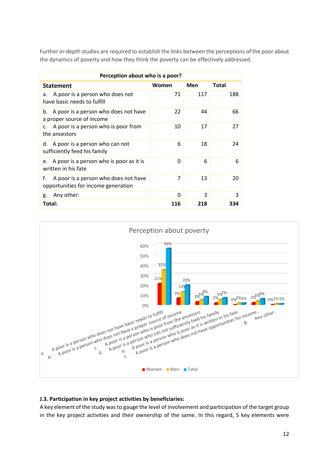Further in-depth studies are required to establish the links between the perceptions of the poor about the dynamics of poverty and how they think the poverty can be effectively addressed.

| Perception about who is a poor?                                                   |       |     |              |  |  |  |  |
|-----------------------------------------------------------------------------------|-------|-----|--------------|--|--|--|--|
| <b>Statement</b>                                                                  | Women | Men | <b>Total</b> |  |  |  |  |
| A poor is a person who does not<br>a.<br>have basic needs to fulfill              | 71    | 117 | 188          |  |  |  |  |
| A poor is a person who does not have<br>b.<br>a proper source of income           | 22    | 44  | 66           |  |  |  |  |
| A poor is a person who is poor from<br>c.<br>the ancestors                        | 10    | 17  | 27           |  |  |  |  |
| d. A poor is a person who can not<br>sufficiently feed his family                 | 6     | 18  | 24           |  |  |  |  |
| e. A poor is a person who is poor as it is<br>written in his fate                 | O     | 6   | 6            |  |  |  |  |
| f.<br>A poor is a person who does not have<br>opportunities for income generation | 7     | 13  | 20           |  |  |  |  |
| Any other:<br>g.                                                                  | 0     | 3   | 3            |  |  |  |  |
| Total:                                                                            | 116   | 218 | 334          |  |  |  |  |



## **J.3. Participation in key project activities by beneficiaries:**

A key element of the study was to gauge the level of involvement and participation of the target group in the key project activities and their ownership of the same. In this regard, 5 key elements were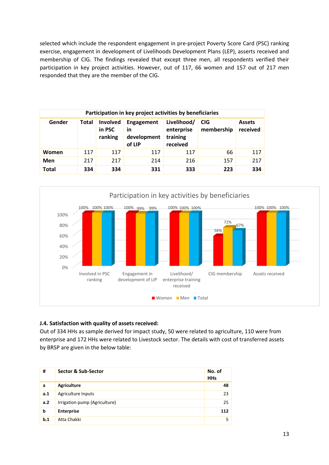selected which include the respondent engagement in pre-project Poverty Score Card (PSC) ranking exercise, engagement in development of Livelihoods Development Plans (LEP), asserts received and membership of CIG. The findings revealed that except three men, all respondents verified their participation in key project activities. However, out of 117, 66 women and 157 out of 217 men responded that they are the member of the CIG.

| Participation in key project activities by beneficiaries |       |                               |                                           |                                                   |                          |                           |  |  |  |
|----------------------------------------------------------|-------|-------------------------------|-------------------------------------------|---------------------------------------------------|--------------------------|---------------------------|--|--|--|
| Gender                                                   | Total | Involved<br>in PSC<br>ranking | Engagement<br>in<br>development<br>of LIP | Livelihood/<br>enterprise<br>training<br>received | <b>CIG</b><br>membership | <b>Assets</b><br>received |  |  |  |
| Women                                                    | 117   | 117                           | 117                                       | 117                                               | 66                       | 117                       |  |  |  |
| Men                                                      | 217   | 217                           | 214                                       | 216                                               | 157                      | 217                       |  |  |  |
| <b>Total</b>                                             | 334   | 334                           | 331                                       | 333                                               | 223                      | 334                       |  |  |  |



## **J.4. Satisfaction with quality of assets received:**

Out of 334 HHs as sample derived for impact study, 50 were related to agriculture, 110 were from enterprise and 172 HHs were related to Livestock sector. The details with cost of transferred assets by BRSP are given in the below table:

| #   | Sector & Sub-Sector           | No. of<br><b>HHs</b> |
|-----|-------------------------------|----------------------|
| a   | <b>Agriculture</b>            | 48                   |
| a.1 | Agriculture Inputs            | 23                   |
| a.2 | Irrigation pump (Agriculture) | 25                   |
| b   | <b>Enterprise</b>             | 112                  |
| b.1 | Atta Chakki                   | 5                    |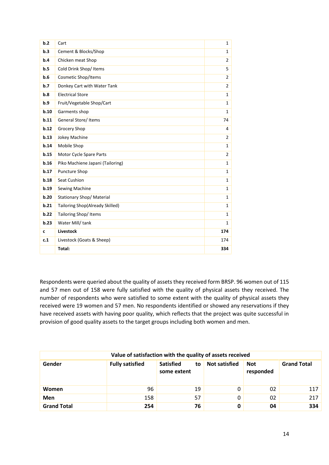| b.2  | Cart                             | $\mathbf{1}$   |
|------|----------------------------------|----------------|
| b.3  | Cement & Blocks/Shop             | $\mathbf{1}$   |
| b.4  | Chicken meat Shop                | $\overline{2}$ |
| b.5  | Cold Drink Shop/ Items           | 5              |
| b.6  | Cosmetic Shop/Items              | $\overline{2}$ |
| b.7  | Donkey Cart with Water Tank      | $\overline{2}$ |
| b.8  | <b>Electrical Store</b>          | $\mathbf{1}$   |
| b.9  | Fruit/Vegetable Shop/Cart        | $\mathbf{1}$   |
| b.10 | Garments shop                    | $\mathbf{1}$   |
| b.11 | General Store/ Items             | 74             |
| b.12 | Grocery Shop                     | 4              |
| b.13 | Jokey Machine                    | $\overline{2}$ |
| b.14 | Mobile Shop                      | $\mathbf{1}$   |
| b.15 | Motor Cycle Spare Parts          | $\overline{2}$ |
| b.16 | Piko Machiene Japani (Tailoring) | $\mathbf{1}$   |
| b.17 | Puncture Shop                    | $\mathbf{1}$   |
| b.18 | Seat Cushion                     | $\mathbf{1}$   |
| b.19 | Sewing Machine                   | $\mathbf{1}$   |
| b.20 | Stationary Shop/ Material        | $\mathbf{1}$   |
| b.21 | Tailoring Shop(Already Skilled)  | $\mathbf{1}$   |
| b.22 | Tailoring Shop/Items             | $\mathbf{1}$   |
| b.23 | Water Mill/tank                  | $\mathbf{1}$   |
| C    | <b>Livestock</b>                 | 174            |
| c.1  | Livestock (Goats & Sheep)        | 174            |
|      | Total:                           | 334            |

Respondents were queried about the quality of assets they received form BRSP. 96 women out of 115 and 57 men out of 158 were fully satisfied with the quality of physical assets they received. The number of respondents who were satisfied to some extent with the quality of physical assets they received were 19 women and 57 men. No respondents identified or showed any reservations if they have received assets with having poor quality, which reflects that the project was quite successful in provision of good quality assets to the target groups including both women and men.

| Value of satisfaction with the quality of assets received |                        |                                       |                      |                         |                    |  |  |  |
|-----------------------------------------------------------|------------------------|---------------------------------------|----------------------|-------------------------|--------------------|--|--|--|
| Gender                                                    | <b>Fully satisfied</b> | <b>Satisfied</b><br>to<br>some extent | <b>Not satisfied</b> | <b>Not</b><br>responded | <b>Grand Total</b> |  |  |  |
| Women                                                     | 96                     | 19                                    | 0                    | 02                      | 117                |  |  |  |
| Men                                                       | 158                    | 57                                    | 0                    | 02                      | 217                |  |  |  |
| <b>Grand Total</b>                                        | 254                    | 76                                    | 0                    | 04                      | 334                |  |  |  |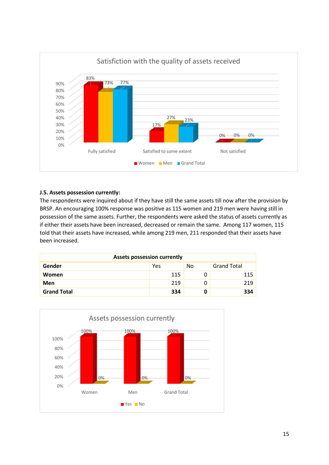

## **J.5. Assets possession currently:**

The respondents were inquired about if they have still the same assets till now after the provision by BRSP. An encouraging 100% response was positive as 115 women and 219 men were having still in possession of the same assets. Further, the respondents were asked the status of assets currently as if either their assets have been increased, decreased or remain the same. Among 117 women, 115 told that their assets have increased, while among 219 men, 211 responded that their assets have been increased.

| <b>Assets possession currently</b> |     |    |                    |  |  |  |
|------------------------------------|-----|----|--------------------|--|--|--|
| Gender                             | Yes | No | <b>Grand Total</b> |  |  |  |
| <b>Women</b>                       | 115 |    | 115                |  |  |  |
| Men                                | 219 |    | 219                |  |  |  |
| <b>Grand Total</b>                 | 334 | 0  | 334                |  |  |  |

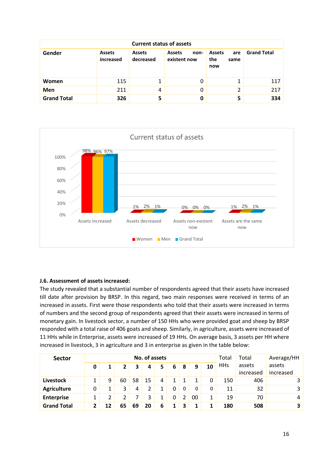| <b>Current status of assets</b> |                            |                            |                                       |                                            |                    |  |  |  |
|---------------------------------|----------------------------|----------------------------|---------------------------------------|--------------------------------------------|--------------------|--|--|--|
| Gender                          | <b>Assets</b><br>increased | <b>Assets</b><br>decreased | <b>Assets</b><br>non-<br>existent now | <b>Assets</b><br>are<br>the<br>same<br>now | <b>Grand Total</b> |  |  |  |
| Women                           | 115                        | 1                          | 0                                     |                                            | 117                |  |  |  |
| Men                             | 211                        | 4                          | 0                                     | 2                                          | 217                |  |  |  |
| <b>Grand Total</b>              | 326                        | 5                          | 0                                     | 5                                          | 334                |  |  |  |



## **J.6. Assessment of assets increased:**

The study revealed that a substantial number of respondents agreed that their assets have increased till date after provision by BRSP. In this regard, two main responses were received in terms of an increased in assets. First were those respondents who told that their assets were increased in terms of numbers and the second group of respondents agreed that their assets were increased in terms of monetary gain. In livestock sector, a number of 150 HHs who were provided goat and sheep by BRSP responded with a total raise of 406 goats and sheep. Similarly, in agriculture, assets were increased of 11 HHs while in Enterprise, assets were increased of 19 HHs. On average basis, 3 assets per HH where increased in livestock, 3 in agriculture and 3 in enterprise as given in the table below:

| <b>Sector</b>      |   |    |              |    | No. of assets |    |          |    |    |              | Total      | Total               | Average/HH          |
|--------------------|---|----|--------------|----|---------------|----|----------|----|----|--------------|------------|---------------------|---------------------|
|                    | 0 |    | $\mathbf{2}$ | 3  | 4             | 5. | 6        | -8 | 9  | 10           | <b>HHs</b> | assets<br>increased | assets<br>increased |
| <b>Livestock</b>   |   | 9  | 60           | 58 | 15            | 4  |          |    |    |              | 150        | 406                 | 3                   |
| <b>Agriculture</b> | 0 |    | 3            | 4  |               |    | 0        | 0  | 0  | 0            | 11         | 32                  | 3                   |
| <b>Enterprise</b>  |   | 2  |              |    | 3             |    | $\Omega$ |    | 00 | $\mathbf{1}$ | 19         | 70                  | 4                   |
| <b>Grand Total</b> |   | 12 | 65           | 69 | 20            | 6  |          |    |    |              | 180        | 508                 | 3                   |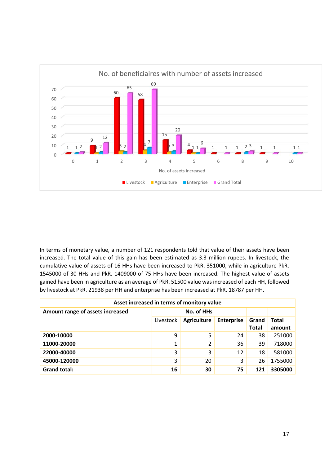

In terms of monetary value, a number of 121 respondents told that value of their assets have been increased. The total value of this gain has been estimated as 3.3 million rupees. In livestock, the cumulative value of assets of 16 HHs have been increased to PkR. 351000, while in agriculture PkR. 1545000 of 30 HHs and PkR. 1409000 of 75 HHs have been increased. The highest value of assets gained have been in agriculture as an average of PkR. 51500 value was increased of each HH, followed by livestock at PkR. 21938 per HH and enterprise has been increased at PkR. 18787 per HH.

| Asset increased in terms of monitory value |           |                    |                   |                       |                 |  |  |  |  |
|--------------------------------------------|-----------|--------------------|-------------------|-----------------------|-----------------|--|--|--|--|
| Amount range of assets increased           |           | No. of HHs         |                   |                       |                 |  |  |  |  |
|                                            | Livestock | <b>Agriculture</b> | <b>Enterprise</b> | Grand<br><b>Total</b> | Total<br>amount |  |  |  |  |
| 2000-10000                                 | 9         | 5                  | 24                | 38                    | 251000          |  |  |  |  |
| 11000-20000                                | 1         | 2                  | 36                | 39                    | 718000          |  |  |  |  |
| 22000-40000                                | 3         | 3                  | 12                | 18                    | 581000          |  |  |  |  |
| 45000-120000                               | 3         | 20                 | 3                 | 26                    | 1755000         |  |  |  |  |
| <b>Grand total:</b>                        | 16        | 30                 | 75                | 121                   | 3305000         |  |  |  |  |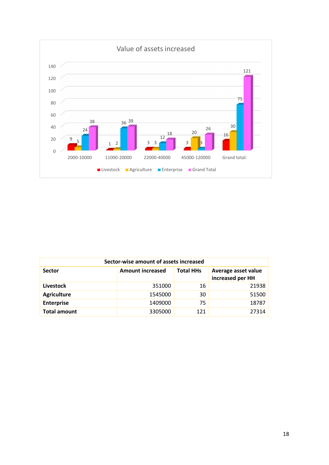

| Sector-wise amount of assets increased |                         |                  |                                         |  |  |  |  |  |
|----------------------------------------|-------------------------|------------------|-----------------------------------------|--|--|--|--|--|
| <b>Sector</b>                          | <b>Amount increased</b> | <b>Total HHs</b> | Average asset value<br>increased per HH |  |  |  |  |  |
| Livestock                              | 351000                  | 16               | 21938                                   |  |  |  |  |  |
| <b>Agriculture</b>                     | 1545000                 | 30               | 51500                                   |  |  |  |  |  |
| <b>Enterprise</b>                      | 1409000                 | 75               | 18787                                   |  |  |  |  |  |
| <b>Total amount</b>                    | 3305000                 | 121              | 27314                                   |  |  |  |  |  |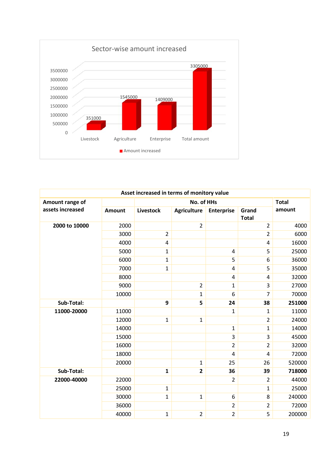

|                  |               | Asset increased in terms of monitory value |                    |                   |                       |              |
|------------------|---------------|--------------------------------------------|--------------------|-------------------|-----------------------|--------------|
| Amount range of  |               |                                            | No. of HHs         |                   |                       | <b>Total</b> |
| assets increased | <b>Amount</b> | Livestock                                  | <b>Agriculture</b> | <b>Enterprise</b> | Grand<br><b>Total</b> | amount       |
| 2000 to 10000    | 2000          |                                            | $\overline{2}$     |                   | $\overline{2}$        | 4000         |
|                  | 3000          | $\overline{2}$                             |                    |                   | $\overline{2}$        | 6000         |
|                  | 4000          | $\overline{4}$                             |                    |                   | $\overline{4}$        | 16000        |
|                  | 5000          | $\mathbf{1}$                               |                    | $\overline{4}$    | 5                     | 25000        |
|                  | 6000          | $\mathbf{1}$                               |                    | 5                 | 6                     | 36000        |
|                  | 7000          | $\mathbf{1}$                               |                    | 4                 | 5                     | 35000        |
|                  | 8000          |                                            |                    | 4                 | $\overline{4}$        | 32000        |
|                  | 9000          |                                            | $\overline{2}$     | $\mathbf{1}$      | $\overline{3}$        | 27000        |
|                  | 10000         |                                            | $\mathbf 1$        | 6                 | 7                     | 70000        |
| Sub-Total:       |               | 9                                          | 5                  | 24                | 38                    | 251000       |
| 11000-20000      | 11000         |                                            |                    | $\mathbf{1}$      | $\mathbf{1}$          | 11000        |
|                  | 12000         | $\mathbf{1}$                               | $\mathbf 1$        |                   | $\overline{2}$        | 24000        |
|                  | 14000         |                                            |                    | $\mathbf{1}$      | $\mathbf{1}$          | 14000        |
|                  | 15000         |                                            |                    | 3                 | $\overline{3}$        | 45000        |
|                  | 16000         |                                            |                    | $\overline{2}$    | $\overline{2}$        | 32000        |
|                  | 18000         |                                            |                    | $\overline{4}$    | $\overline{4}$        | 72000        |
|                  | 20000         |                                            | $\mathbf{1}$       | 25                | 26                    | 520000       |
| Sub-Total:       |               | $\mathbf{1}$                               | $\overline{2}$     | 36                | 39                    | 718000       |
| 22000-40000      | 22000         |                                            |                    | $\overline{2}$    | $\overline{2}$        | 44000        |
|                  | 25000         | $\mathbf{1}$                               |                    |                   | $\mathbf{1}$          | 25000        |
|                  | 30000         | $\mathbf{1}$                               | $\mathbf{1}$       | $\boldsymbol{6}$  | 8                     | 240000       |
|                  | 36000         |                                            |                    | $\mathbf 2$       | $\overline{2}$        | 72000        |
|                  | 40000         | $\mathbf 1$                                | $\overline{2}$     | $\overline{2}$    | 5                     | 200000       |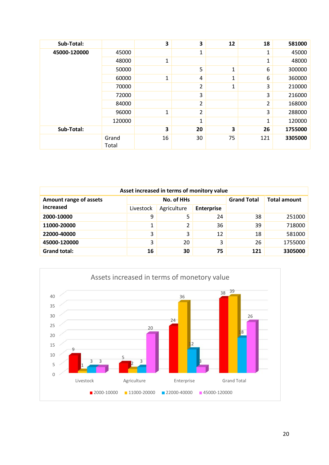| Sub-Total:   |                | 3            | 3              | 12           | 18  | 581000  |
|--------------|----------------|--------------|----------------|--------------|-----|---------|
| 45000-120000 | 45000          |              | 1              |              | 1   | 45000   |
|              | 48000          | $\mathbf{1}$ |                |              | 1   | 48000   |
|              | 50000          |              | 5              | $\mathbf{1}$ | 6   | 300000  |
|              | 60000          | $\mathbf{1}$ | 4              | 1            | 6   | 360000  |
|              | 70000          |              | $\overline{2}$ | $\mathbf{1}$ | 3   | 210000  |
|              | 72000          |              | 3              |              | 3   | 216000  |
|              | 84000          |              | 2              |              | 2   | 168000  |
|              | 96000          | $\mathbf{1}$ | 2              |              | 3   | 288000  |
|              | 120000         |              | 1              |              | 1   | 120000  |
| Sub-Total:   |                | 3            | 20             | 3            | 26  | 1755000 |
|              | Grand<br>Total | 16           | 30             | 75           | 121 | 3305000 |

| Asset increased in terms of monitory value |           |                |                    |                     |         |  |  |  |  |
|--------------------------------------------|-----------|----------------|--------------------|---------------------|---------|--|--|--|--|
| Amount range of assets                     |           | No. of HHs     | <b>Grand Total</b> | <b>Total amount</b> |         |  |  |  |  |
| increased                                  | Livestock | Agriculture    | <b>Enterprise</b>  |                     |         |  |  |  |  |
| 2000-10000                                 | 9         | 5              | 24                 | 38                  | 251000  |  |  |  |  |
| 11000-20000                                | 1         | $\overline{2}$ | 36                 | 39                  | 718000  |  |  |  |  |
| 22000-40000                                | 3         | 3              | 12                 | 18                  | 581000  |  |  |  |  |
| 45000-120000                               | 3         | 20             | 3                  | 26                  | 1755000 |  |  |  |  |
| <b>Grand total:</b>                        | 16        | 30             | 75                 | 121                 | 3305000 |  |  |  |  |

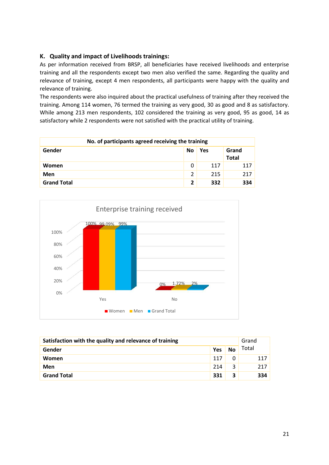## **K. Quality and impact of Livelihoods trainings:**

As per information received from BRSP, all beneficiaries have received livelihoods and enterprise training and all the respondents except two men also verified the same. Regarding the quality and relevance of training, except 4 men respondents, all participants were happy with the quality and relevance of training.

The respondents were also inquired about the practical usefulness of training after they received the training. Among 114 women, 76 termed the training as very good, 30 as good and 8 as satisfactory. While among 213 men respondents, 102 considered the training as very good, 95 as good, 14 as satisfactory while 2 respondents were not satisfied with the practical utility of training.

| No. of participants agreed receiving the training |                         |     |                       |  |  |  |  |
|---------------------------------------------------|-------------------------|-----|-----------------------|--|--|--|--|
| Gender                                            | No                      | Yes | Grand<br><b>Total</b> |  |  |  |  |
| Women                                             | 0                       | 117 | 117                   |  |  |  |  |
| Men                                               | 2                       | 215 | 217                   |  |  |  |  |
| <b>Grand Total</b>                                | $\overline{\mathbf{2}}$ | 332 | 334                   |  |  |  |  |



| Satisfaction with the quality and relevance of training |     |           |       |  |
|---------------------------------------------------------|-----|-----------|-------|--|
| Gender                                                  | Yes | <b>No</b> | Total |  |
| Women                                                   | 117 | 0         | 117   |  |
| Men                                                     | 214 | 3         | 217   |  |
| <b>Grand Total</b>                                      | 331 | 3         | 334   |  |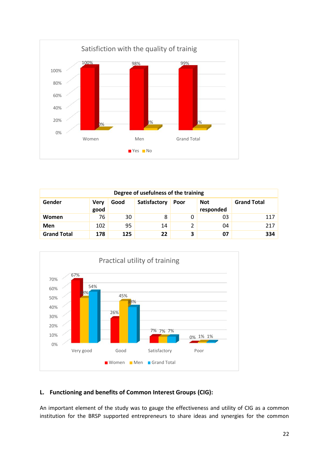

| Degree of usefulness of the training |                     |      |              |      |                         |                    |  |  |  |
|--------------------------------------|---------------------|------|--------------|------|-------------------------|--------------------|--|--|--|
| Gender                               | <b>Very</b><br>good | Good | Satisfactory | Poor | <b>Not</b><br>responded | <b>Grand Total</b> |  |  |  |
| Women                                | 76                  | 30   | 8            |      | 03                      | 117                |  |  |  |
| Men                                  | 102                 | 95   | 14           | 2    | 04                      | 217                |  |  |  |
| <b>Grand Total</b>                   | 178                 | 125  | 22           | 3    | 07                      | 334                |  |  |  |



## **L. Functioning and benefits of Common Interest Groups (CIG):**

An important element of the study was to gauge the effectiveness and utility of CIG as a common institution for the BRSP supported entrepreneurs to share ideas and synergies for the common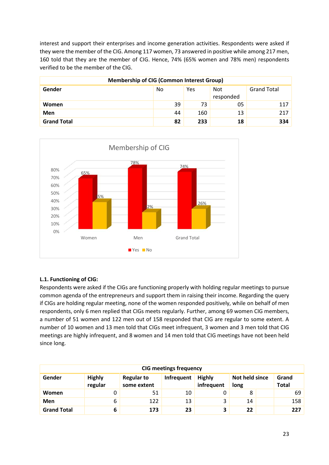interest and support their enterprises and income generation activities. Respondents were asked if they were the member of the CIG. Among 117 women, 73 answered in positive while among 217 men, 160 told that they are the member of CIG. Hence, 74% (65% women and 78% men) respondents verified to be the member of the CIG.

| <b>Membership of CIG (Common Interest Group)</b> |    |     |                         |                    |  |  |  |  |
|--------------------------------------------------|----|-----|-------------------------|--------------------|--|--|--|--|
| Gender                                           | No | Yes | <b>Not</b><br>responded | <b>Grand Total</b> |  |  |  |  |
| Women                                            | 39 | 73  | 05                      | 117                |  |  |  |  |
| <b>Men</b>                                       | 44 | 160 | 13                      | 217                |  |  |  |  |
| <b>Grand Total</b>                               | 82 | 233 | 18                      | 334                |  |  |  |  |



## **L.1. Functioning of CIG:**

Respondents were asked if the CIGs are functioning properly with holding regular meetings to pursue common agenda of the entrepreneurs and support them in raising their income. Regarding the query if CIGs are holding regular meeting, none of the women responded positively, while on behalf of men respondents, only 6 men replied that CIGs meets regularly. Further, among 69 women CIG members, a number of 51 women and 122 men out of 158 responded that CIG are regular to some extent. A number of 10 women and 13 men told that CIGs meet infrequent, 3 women and 3 men told that CIG meetings are highly infrequent, and 8 women and 14 men told that CIG meetings have not been held since long.

| <b>CIG meetings frequency</b> |                          |                                  |            |                             |                        |  |                       |  |  |
|-------------------------------|--------------------------|----------------------------------|------------|-----------------------------|------------------------|--|-----------------------|--|--|
| Gender                        | <b>Highly</b><br>regular | <b>Regular to</b><br>some extent | Infrequent | <b>Highly</b><br>infrequent | Not held since<br>long |  | Grand<br><b>Total</b> |  |  |
| <b>Women</b>                  | O.                       | 51                               | 10         |                             | 8                      |  | 69                    |  |  |
| Men                           | 6                        | 122                              | 13         |                             | 14                     |  | 158                   |  |  |
| <b>Grand Total</b>            | 6                        | 173                              | 23         | 3                           | 22                     |  | 227                   |  |  |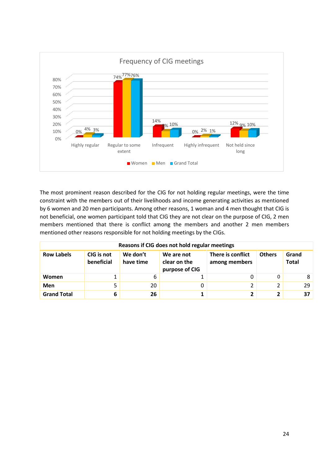

The most prominent reason described for the CIG for not holding regular meetings, were the time constraint with the members out of their livelihoods and income generating activities as mentioned by 6 women and 20 men participants. Among other reasons, 1 woman and 4 men thought that CIG is not beneficial, one women participant told that CIG they are not clear on the purpose of CIG, 2 men members mentioned that there is conflict among the members and another 2 men members mentioned other reasons responsible for not holding meetings by the CIGs.

|                    |                          |                       | Reasons if CIG does not hold regular meetings |                                    |               |                       |
|--------------------|--------------------------|-----------------------|-----------------------------------------------|------------------------------------|---------------|-----------------------|
| <b>Row Labels</b>  | CIG is not<br>beneficial | We don't<br>have time | We are not<br>clear on the<br>purpose of CIG  | There is conflict<br>among members | <b>Others</b> | Grand<br><b>Total</b> |
| Women              |                          | 6                     |                                               | 0                                  | 0             | 8                     |
| Men                |                          | 20                    |                                               | 2                                  |               | 29                    |
| <b>Grand Total</b> |                          | 26                    |                                               | 2                                  |               | 37                    |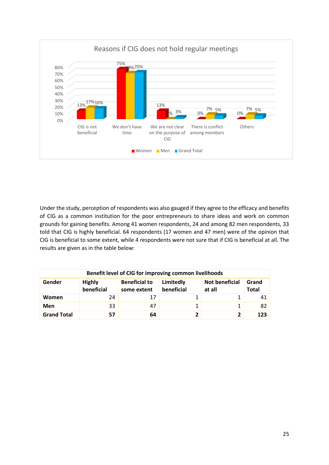

Under the study, perception of respondents was also gauged if they agree to the efficacy and benefits of CIG as a common institution for the poor entrepreneurs to share ideas and work on common grounds for gaining benefits. Among 41 women respondents, 24 and among 82 men respondents, 33 told that CIG is highly beneficial. 64 respondents (17 women and 47 men) were of the opinion that CIG is beneficial to some extent, while 4 respondents were not sure that if CIG is beneficial at all. The results are given as in the table below:

| Benefit level of CIG for improving common livelihoods |                                                                                                                                                           |    |  |              |     |  |  |  |  |  |
|-------------------------------------------------------|-----------------------------------------------------------------------------------------------------------------------------------------------------------|----|--|--------------|-----|--|--|--|--|--|
| Gender                                                | <b>Beneficial to</b><br><b>Not beneficial</b><br><b>Highly</b><br>Limitedly<br>Grand<br>beneficial<br>beneficial<br>at all<br><b>Total</b><br>some extent |    |  |              |     |  |  |  |  |  |
| Women                                                 | 24                                                                                                                                                        | 17 |  |              | 41  |  |  |  |  |  |
| Men                                                   | 33                                                                                                                                                        | 47 |  | 1            | 82  |  |  |  |  |  |
| <b>Grand Total</b>                                    | 57                                                                                                                                                        | 64 |  | $\mathbf{2}$ | 123 |  |  |  |  |  |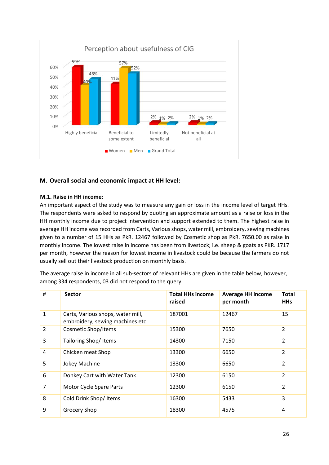

## **M. Overall social and economic impact at HH level:**

## **M.1. Raise in HH income:**

An important aspect of the study was to measure any gain or loss in the income level of target HHs. The respondents were asked to respond by quoting an approximate amount as a raise or loss in the HH monthly income due to project intervention and support extended to them. The highest raise in average HH income was recorded from Carts, Various shops, water mill, embroidery, sewing machines given to a number of 15 HHs as PkR. 12467 followed by Cosmetic shop as PkR. 7650.00 as raise in monthly income. The lowest raise in income has been from livestock; i.e. sheep & goats as PKR. 1717 per month, however the reason for lowest income in livestock could be because the farmers do not usually sell out their livestock production on monthly basis.

The average raise in income in all sub-sectors of relevant HHs are given in the table below, however, among 334 respondents, 03 did not respond to the query.

| #              | <b>Sector</b>                                                        | <b>Total HHs income</b><br>raised | <b>Average HH income</b><br>per month | <b>Total</b><br><b>HHs</b> |
|----------------|----------------------------------------------------------------------|-----------------------------------|---------------------------------------|----------------------------|
| $\mathbf{1}$   | Carts, Various shops, water mill,<br>embroidery, sewing machines etc | 187001                            | 12467                                 | 15                         |
| $\overline{2}$ | <b>Cosmetic Shop/Items</b>                                           | 15300                             | 7650                                  | 2                          |
| 3              | Tailoring Shop/Items                                                 | 14300                             | 7150                                  | $\overline{2}$             |
| 4              | Chicken meat Shop                                                    | 13300                             | 6650                                  | $\overline{2}$             |
| 5              | Jokey Machine                                                        | 13300                             | 6650                                  | 2                          |
| 6              | Donkey Cart with Water Tank                                          | 12300                             | 6150                                  | $\overline{2}$             |
| $\overline{7}$ | Motor Cycle Spare Parts                                              | 12300                             | 6150                                  | $\overline{2}$             |
| 8              | Cold Drink Shop/ Items                                               | 16300                             | 5433                                  | 3                          |
| 9              | <b>Grocery Shop</b>                                                  | 18300                             | 4575                                  | 4                          |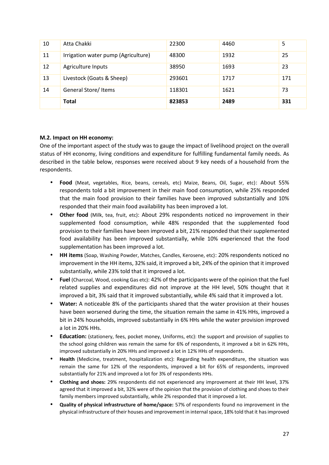| 10 | Atta Chakki                         | 22300  | 4460 | 5   |
|----|-------------------------------------|--------|------|-----|
| 11 | Irrigation water pump (Agriculture) | 48300  | 1932 | 25  |
| 12 | Agriculture Inputs                  | 38950  | 1693 | 23  |
| 13 | Livestock (Goats & Sheep)           | 293601 | 1717 | 171 |
| 14 | General Store/Items                 | 118301 | 1621 | 73  |
|    | Total                               | 823853 | 2489 | 331 |

## **M.2. Impact on HH economy:**

One of the important aspect of the study was to gauge the impact of livelihood project on the overall status of HH economy, living conditions and expenditure for fulfilling fundamental family needs. As described in the table below, responses were received about 9 key needs of a household from the respondents.

- **Food** (Meat, vegetables, Rice, beans, cereals, etc) Maize, Beans, Oil, Sugar, etc): About 55% respondents told a bit improvement in their main food consumption, while 25% responded that the main food provision to their families have been improved substantially and 10% responded that their main food availability has been improved a lot.
- **Other food** (Milk, tea, fruit, etc): About 29% respondents noticed no improvement in their supplemented food consumption, while 48% responded that the supplemented food provision to their families have been improved a bit, 21% responded that their supplemented food availability has been improved substantially, while 10% experienced that the food supplementation has been improved a lot.
- **HH items** (Soap, Washing Powder, Matches, Candles, Kerosene, etc): 20% respondents noticed no improvement in the HH items, 32% said, it improved a bit, 24% of the opinion that it improved substantially, while 23% told that it improved a lot.
- **Fuel** (Charcoal, Wood, cooking Gas etc): 42% of the participants were of the opinion that the fuel related supplies and expenditures did not improve at the HH level, 50% thought that it improved a bit, 3% said that it improved substantially, while 4% said that it improved a lot.
- **Water:** A noticeable 8% of the participants shared that the water provision at their houses have been worsened during the time, the situation remain the same in 41% HHs, improved a bit in 24% households, improved substantially in 6% HHs while the water provision improved a lot in 20% HHs.
- **Education:** (stationery, fees, pocket money, Uniforms, etc): the support and provision of supplies to the school going children was remain the same for 6% of respondents, it improved a bit in 62% HHs, improved substantially in 20% HHs and improved a lot in 12% HHs of respondents.
- **Health** (Medicine, treatment, hospitalization etc): Regarding health expenditure, the situation was remain the same for 12% of the respondents, improved a bit for 65% of respondents, improved substantially for 21% and improved a lot for 3% of respondents HHs.
- **Clothing and shoes:** 29% respondents did not experienced any improvement at their HH level, 37% agreed that it improved a bit, 32% were of the opinion that the provision of clothing and shoes to their family members improved substantially, while 2% responded that it improved a lot.
- **Quality of physical infrastructure of home/space:** 57% of respondents found no improvement in the physical infrastructure of their houses and improvement in internal space, 18% told that it hasimproved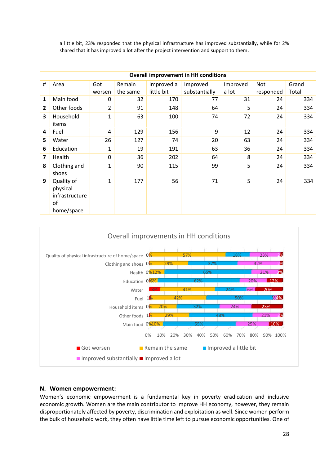a little bit, 23% responded that the physical infrastructure has improved substantially, while for 2% shared that it has improved a lot after the project intervention and support to them.

|                | <b>Overall improvement in HH conditions</b>                  |                |          |            |               |          |           |       |  |  |  |  |
|----------------|--------------------------------------------------------------|----------------|----------|------------|---------------|----------|-----------|-------|--|--|--|--|
| $\#$           | Area                                                         | Got            | Remain   | Improved a | Improved      | Improved | Not       | Grand |  |  |  |  |
|                |                                                              | worsen         | the same | little bit | substantially | a lot    | responded | Total |  |  |  |  |
| 1              | Main food                                                    | 0              | 32       | 170        | 77            | 31       | 24        | 334   |  |  |  |  |
| $\overline{2}$ | Other foods                                                  | $\overline{2}$ | 91       | 148        | 64            | 5        | 24        | 334   |  |  |  |  |
| 3              | Household<br>items                                           | $\mathbf{1}$   | 63       | 100        | 74            | 72       | 24        | 334   |  |  |  |  |
| 4              | Fuel                                                         | 4              | 129      | 156        | 9             | 12       | 24        | 334   |  |  |  |  |
| 5              | Water                                                        | 26             | 127      | 74         | 20            | 63       | 24        | 334   |  |  |  |  |
| 6              | Education                                                    | $\mathbf{1}$   | 19       | 191        | 63            | 36       | 24        | 334   |  |  |  |  |
| 7              | Health                                                       | 0              | 36       | 202        | 64            | 8        | 24        | 334   |  |  |  |  |
| 8              | Clothing and<br>shoes                                        | 1              | 90       | 115        | 99            | 5        | 24        | 334   |  |  |  |  |
| 9              | Quality of<br>physical<br>infrastructure<br>of<br>home/space | $\mathbf 1$    | 177      | 56         | 71            | 5        | 24        | 334   |  |  |  |  |



#### **N. Women empowerment:**

Women's economic empowerment is a fundamental key in poverty eradication and inclusive economic growth. Women are the main contributor to improve HH economy, however, they remain disproportionately affected by poverty, discrimination and exploitation as well. Since women perform the bulk of household work, they often have little time left to pursue economic opportunities. One of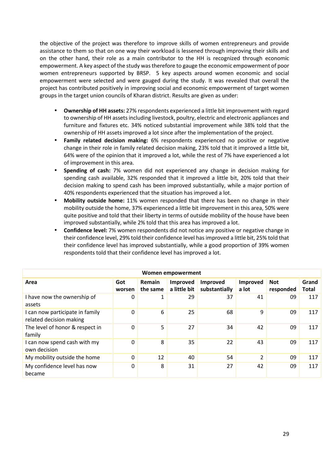the objective of the project was therefore to improve skills of women entrepreneurs and provide assistance to them so that on one way their workload is lessened through improving their skills and on the other hand, their role as a main contributor to the HH is recognized through economic empowerment. A key aspect of the study was therefore to gauge the economic empowerment of poor women entrepreneurs supported by BRSP. 5 key aspects around women economic and social empowerment were selected and were gauged during the study. It was revealed that overall the project has contributed positively in improving social and economic empowerment of target women groups in the target union councils of Kharan district. Results are given as under:

- **Ownership of HH assets:** 27% respondents experienced a little bit improvement with regard to ownership of HH assets including livestock, poultry, electric and electronic appliances and furniture and fixtures etc. 34% noticed substantial improvement while 38% told that the ownership of HH assets improved a lot since after the implementation of the project.
- **Family related decision making:** 6% respondents experienced no positive or negative change in their role in family related decision making, 23% told that it improved a little bit, 64% were of the opinion that it improved a lot, while the rest of 7% have experienced a lot of improvement in this area.
- **Spending of cash:** 7% women did not experienced any change in decision making for spending cash available, 32% responded that it improved a little bit, 20% told that their decision making to spend cash has been improved substantially, while a major portion of 40% respondents experienced that the situation has improved a lot.
- **Mobility outside home:** 11% women responded that there has been no change in their mobility outside the home, 37% experienced a little bit improvement in this area, 50% were quite positive and told that their liberty in terms of outside mobility of the house have been improved substantially, while 2% told that this area has improved a lot.
- **Confidence level:** 7% women respondents did not notice any positive or negative change in their confidence level, 29% told their confidence level has improved a little bit, 25% told that their confidence level has improved substantially, while a good proportion of 39% women respondents told that their confidence level has improved a lot.

|                                                            |               |                    | Women empowerment        |                           |                   |                         |                       |
|------------------------------------------------------------|---------------|--------------------|--------------------------|---------------------------|-------------------|-------------------------|-----------------------|
| Area                                                       | Got<br>worsen | Remain<br>the same | Improved<br>a little bit | Improved<br>substantially | Improved<br>a lot | <b>Not</b><br>responded | Grand<br><b>Total</b> |
| I have now the ownership of<br>assets                      | 0             | 1                  | 29                       | 37                        | 41                | 09                      | 117                   |
| I can now participate in family<br>related decision making | $\mathbf{0}$  | 6                  | 25                       | 68                        | 9                 | 09                      | 117                   |
| The level of honor & respect in<br>family                  | $\Omega$      | 5                  | 27                       | 34                        | 42                | 09                      | 117                   |
| I can now spend cash with my<br>own decision               | $\Omega$      | 8                  | 35                       | 22                        | 43                | 09                      | 117                   |
| My mobility outside the home                               | $\Omega$      | 12                 | 40                       | 54                        | $\overline{2}$    | 09                      | 117                   |
| My confidence level has now<br>became                      | $\Omega$      | 8                  | 31                       | 27                        | 42                | 09                      | 117                   |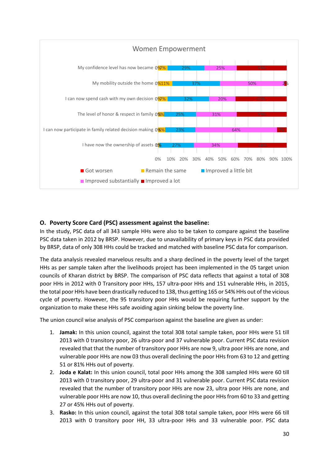

## **O. Poverty Score Card (PSC) assessment against the baseline:**

In the study, PSC data of all 343 sample HHs were also to be taken to compare against the baseline PSC data taken in 2012 by BRSP. However, due to unavailability of primary keys in PSC data provided by BRSP, data of only 308 HHs could be tracked and matched with baseline PSC data for comparison.

The data analysis revealed marvelous results and a sharp declined in the poverty level of the target HHs as per sample taken after the livelihoods project has been implemented in the 05 target union councils of Kharan district by BRSP. The comparison of PSC data reflects that against a total of 308 poor HHs in 2012 with 0 Transitory poor HHs, 157 ultra-poor HHs and 151 vulnerable HHs, in 2015, the total poor HHs have been drastically reduced to 138, thus getting 165 or 54% HHs out of the vicious cycle of poverty. However, the 95 transitory poor HHs would be requiring further support by the organization to make these HHs safe avoiding again sinking below the poverty line.

The union council wise analysis of PSC comparison against the baseline are given as under:

- 1. **Jamak:** In this union council, against the total 308 total sample taken, poor HHs were 51 till 2013 with 0 transitory poor, 26 ultra-poor and 37 vulnerable poor. Current PSC data revision revealed that that the number of transitory poor HHs are now 9, ultra poor HHs are none, and vulnerable poor HHs are now 03 thus overall declining the poor HHs from 63 to 12 and getting 51 or 81% HHs out of poverty.
- 2. **Joda e Kalat:** In this union council, total poor HHs among the 308 sampled HHs were 60 till 2013 with 0 transitory poor, 29 ultra-poor and 31 vulnerable poor. Current PSC data revision revealed that the number of transitory poor HHs are now 23, ultra poor HHs are none, and vulnerable poor HHs are now 10, thus overall declining the poor HHs from 60 to 33 and getting 27 or 45% HHs out of poverty.
- 3. **Rasko:** In this union council, against the total 308 total sample taken, poor HHs were 66 till 2013 with 0 transitory poor HH, 33 ultra-poor HHs and 33 vulnerable poor. PSC data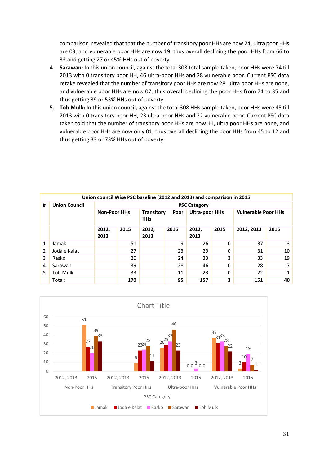comparison revealed that that the number of transitory poor HHs are now 24, ultra poor HHs are 03, and vulnerable poor HHs are now 19, thus overall declining the poor HHs from 66 to 33 and getting 27 or 45% HHs out of poverty.

- 4. **Sarawan:** In this union council, against the total 308 total sample taken, poor HHs were 74 till 2013 with 0 transitory poor HH, 46 ultra-poor HHs and 28 vulnerable poor. Current PSC data retake revealed that the number of transitory poor HHs are now 28, ultra poor HHs are none, and vulnerable poor HHs are now 07, thus overall declining the poor HHs from 74 to 35 and thus getting 39 or 53% HHs out of poverty.
- 5. **Toh Mulk:** In this union council, against the total 308 HHs sample taken, poor HHs were 45 till 2013 with 0 transitory poor HH, 23 ultra-poor HHs and 22 vulnerable poor. Current PSC data taken told that the number of transitory poor HHs are now 11, ultra poor HHs are none, and vulnerable poor HHs are now only 01, thus overall declining the poor HHs from 45 to 12 and thus getting 33 or 73% HHs out of poverty.

|              | Union council Wise PSC baseline (2012 and 2013) and comparison in 2015 |                     |      |                                         |    |                       |   |                            |    |  |  |  |
|--------------|------------------------------------------------------------------------|---------------------|------|-----------------------------------------|----|-----------------------|---|----------------------------|----|--|--|--|
| #            | <b>Union Council</b>                                                   | <b>PSC Category</b> |      |                                         |    |                       |   |                            |    |  |  |  |
|              |                                                                        | <b>Non-Poor HHs</b> |      | <b>Transitory</b><br>Poor<br><b>HHs</b> |    | <b>Ultra-poor HHs</b> |   | <b>Vulnerable Poor HHs</b> |    |  |  |  |
|              |                                                                        | 2012,<br>2013       | 2015 | 2012,<br>2015<br>2013                   |    | 2015<br>2012,<br>2013 |   | 2012, 2013<br>2015         |    |  |  |  |
| $\mathbf{1}$ | Jamak                                                                  |                     | 51   |                                         | 9  | 26                    | 0 | 37                         | 3  |  |  |  |
| 2            | Joda e Kalat                                                           |                     | 27   |                                         | 23 | 29                    | 0 | 31                         | 10 |  |  |  |
| 3            | Rasko                                                                  |                     | 20   |                                         | 24 | 33                    | 3 | 33                         | 19 |  |  |  |
| 4            | Sarawan                                                                |                     | 39   |                                         | 28 | 46                    | 0 | 28                         | ⇁  |  |  |  |
| 5            | Toh Mulk                                                               |                     | 33   |                                         | 11 | 23                    | 0 | 22                         | 1  |  |  |  |
|              | Total:                                                                 |                     | 170  |                                         | 95 | 157                   | 3 | 151                        | 40 |  |  |  |

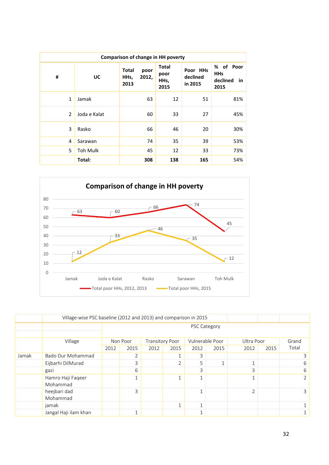|                | <b>Comparison of change in HH poverty</b> |                              |               |                                      |                                 |                                                      |  |  |  |  |  |  |
|----------------|-------------------------------------------|------------------------------|---------------|--------------------------------------|---------------------------------|------------------------------------------------------|--|--|--|--|--|--|
| #              | UC                                        | <b>Total</b><br>HHs,<br>2013 | poor<br>2012, | <b>Total</b><br>poor<br>HHs,<br>2015 | Poor HHs<br>declined<br>in 2015 | of Poor<br>%<br><b>HHs</b><br>declined<br>in<br>2015 |  |  |  |  |  |  |
| 1              | Jamak                                     |                              | 63            | 12                                   | 51                              | 81%                                                  |  |  |  |  |  |  |
| $\overline{2}$ | Joda e Kalat                              |                              | 60            | 33                                   | 27                              | 45%                                                  |  |  |  |  |  |  |
| 3              | Rasko                                     |                              | 66            | 46                                   | 20                              | 30%                                                  |  |  |  |  |  |  |
| 4              | Sarawan                                   |                              | 74            | 35                                   | 39                              | 53%                                                  |  |  |  |  |  |  |
| 5              | <b>Toh Mulk</b>                           |                              | 45            | 12                                   | 33                              | 73%                                                  |  |  |  |  |  |  |
|                | Total:                                    |                              | 308           | 138                                  | 165                             | 54%                                                  |  |  |  |  |  |  |



|       |                               | Village-wise PSC baseline (2012 and 2013) and comparison in 2015 |                                                                              |      |               |              |              |                |      |                |  |  |  |
|-------|-------------------------------|------------------------------------------------------------------|------------------------------------------------------------------------------|------|---------------|--------------|--------------|----------------|------|----------------|--|--|--|
|       |                               |                                                                  | PSC Category                                                                 |      |               |              |              |                |      |                |  |  |  |
|       | Village                       |                                                                  | Vulnerable Poor<br>Ultra Poor<br>Non Poor<br><b>Transitory Poor</b><br>Grand |      |               |              |              |                |      |                |  |  |  |
|       |                               | 2012                                                             | 2015                                                                         | 2012 | 2015          | 2012         | 2015         | 2012           | 2015 | Total          |  |  |  |
| Jamak | Bado Dur Mohammad             |                                                                  | $\overline{2}$                                                               |      |               | 3            |              |                |      | 3              |  |  |  |
|       | Eijbarhi DilMurad             |                                                                  | 3                                                                            |      | $\mathcal{P}$ | 5            | $\mathbf{1}$ |                |      | 6              |  |  |  |
|       | gazi                          |                                                                  | 6                                                                            |      |               | 3            |              | 3              |      | 6              |  |  |  |
|       | Hamro Haji Faqeer<br>Mohammad |                                                                  |                                                                              |      |               | $\mathbf{1}$ |              |                |      | $\overline{2}$ |  |  |  |
|       | heejbari dad<br>Mohammad      |                                                                  | 3                                                                            |      |               | $\mathbf{1}$ |              | $\overline{2}$ |      | 3              |  |  |  |
|       | jamak                         |                                                                  | $\mathbf{1}$<br>$\mathbf{A}$                                                 |      |               |              |              |                |      |                |  |  |  |
|       | Jangal Haji ilam khan         |                                                                  | $\mathbf{1}$                                                                 |      |               | $\mathbf{1}$ |              |                |      | $\mathbf{A}$   |  |  |  |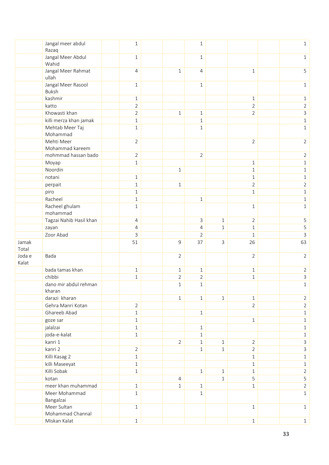|        | Jangal meer abdul<br>Razaq  | 1              |                | $\mathbf 1$    |              |                                | $\mathbf{1}$                     |
|--------|-----------------------------|----------------|----------------|----------------|--------------|--------------------------------|----------------------------------|
|        | Jangal Meer Abdul           | $\mathbf{1}$   |                | $\mathbf 1$    |              |                                | $\mathbf{1}$                     |
|        | Wahid                       |                |                |                |              |                                |                                  |
|        | Jangal Meer Rahmat          | $\overline{4}$ | $\mathbf{1}$   | 4              |              | $\mathbf{1}$                   | 5                                |
|        | ullah<br>Jangal Meer Rasool | $1\,$          |                | $\mathbf 1$    |              |                                | $\mathbf{1}$                     |
|        | Buksh                       |                |                |                |              |                                |                                  |
|        | kashmir                     | $1\,$          |                |                |              | $\mathbf{1}$                   | $\mathbf{1}$                     |
|        | katto                       | $\overline{2}$ |                |                |              | $\overline{2}$                 | $\overline{2}$                   |
|        | Khowasti khan               | $\overline{2}$ | $\mathbf{1}$   | $\mathbf 1$    |              | $\overline{2}$                 | 3                                |
|        | killi merza khan jamak      | $1\,$          |                | $\mathbf{1}$   |              |                                | $\,1\,$                          |
|        | Mehtab Meer Taj             | $\mathbf{1}$   |                | $\mathbf 1$    |              |                                | $\mathbf{1}$                     |
|        | Mohammad                    |                |                |                |              |                                |                                  |
|        | Mehti Meer                  | $\overline{2}$ |                |                |              | $\overline{2}$                 | $\overline{2}$                   |
|        | Mohammad kareem             |                |                |                |              |                                |                                  |
|        | mohmmad hassan bado         | $\overline{2}$ |                | $\overline{2}$ |              |                                | $\overline{2}$                   |
|        | Moyap<br>Noordin            | $\mathbf{1}$   | $\mathbf{1}$   |                |              | $\mathbf 1$<br>$\mathbf{1}$    | $\mathbf{1}$<br>$\mathbf 1$      |
|        | notani                      | $1\,$          |                |                |              | $\mathbf 1$                    | $\mathbf{1}$                     |
|        | perpait                     | $1\,$          | $\mathbf{1}$   |                |              | $\overline{2}$                 | $\overline{2}$                   |
|        | piro                        | $\mathbf{1}$   |                |                |              | $\mathbf 1$                    | $\mathbf{1}$                     |
|        | Racheel                     | $\mathbf 1$    |                | $\mathbf 1$    |              |                                | $1\,$                            |
|        | Racheel ghulam              | $\mathbf{1}$   |                |                |              | $\mathbf{1}$                   | $\mathbf{1}$                     |
|        | mohammad                    |                |                |                |              |                                |                                  |
|        | Tagzai Nahib Hasil khan     | $\overline{4}$ |                | 3              | $\mathbf{1}$ | $\overline{2}$                 | 5                                |
|        | zayan                       | $\overline{4}$ |                | 4              | $\mathbf{1}$ | $\mathbf{1}$                   | 5                                |
|        | Zoor Abad                   | 3              |                | $\overline{2}$ |              | $\mathbf{1}$                   | 3                                |
| Jamak  |                             | 51             | 9              | 37             | 3            | 26                             | 63                               |
| Total  |                             |                |                |                |              |                                |                                  |
| Joda e | Bada                        |                | $\overline{2}$ |                |              | $\overline{2}$                 | $\overline{2}$                   |
| Kalat  |                             |                |                |                |              |                                |                                  |
|        | bada tamas khan             | $\mathbf{1}$   | $\mathbf{1}$   | $\mathbf 1$    |              | $\mathbf{1}$                   | $\overline{2}$                   |
|        | chibbi                      | $\mathbf 1$    | $\overline{2}$ | $\overline{2}$ |              | $\mathbf 1$                    | 3                                |
|        | dano mir abdul rehman       |                | $\mathbf{1}$   | $\mathbf{1}$   |              |                                | $\mathbf{1}$                     |
|        | kharan<br>darazi kharan     |                |                | $\mathbf{1}$   | $\mathbf{1}$ |                                |                                  |
|        | Gehra Manri Kotan           | $\overline{2}$ | $\mathbf{1}$   |                |              | $\mathbf{1}$<br>$\overline{2}$ | $\overline{2}$<br>$\overline{2}$ |
|        | Ghareeb Abad                | $\mathbf{1}$   |                | $1\,$          |              |                                | $\mathbf 1$                      |
|        | goze sar                    | $1\,$          |                |                |              | $1\,$                          | $1\,$                            |
|        | jalalzai                    | $\mathbf{1}$   |                | $\mathbf 1$    |              |                                | $\mathbf{1}$                     |
|        | joda-e-kalat                | $\mathbf 1$    |                | $\mathbf 1$    |              |                                | $1\,$                            |
|        | kanri 1                     |                | $\overline{2}$ | $\mathbf 1$    | $\mathbf{1}$ | $\overline{2}$                 | 3                                |
|        | kanri 2                     | $\overline{2}$ |                | $\mathbf 1$    | $\mathbf{1}$ | $\overline{2}$                 | 3                                |
|        | Killi Kasag 2               | $1\,$          |                |                |              | $1\,$                          | $1\,$                            |
|        | killi Maseeyat              | $\mathbf{1}$   |                |                |              | $\mathbf{1}$                   | $\mathbf{1}$                     |
|        | Killi Sobak                 | $\mathbf 1$    |                | $\mathbf 1$    | $\mathbf{1}$ | $\mathbf 1$                    | $\overline{2}$                   |
|        | kotan                       |                | $\overline{4}$ |                | $\mathbf{1}$ | 5                              | 5                                |
|        | meer khan muhammad          | $\mathbf{1}$   | $1\,$          | $\mathbf 1$    |              | $\mathbf 1$                    | $\overline{2}$                   |
|        | Meer Mohammad               | $1\,$          |                | $\mathbf 1$    |              |                                | $\mathbf{1}$                     |
|        | Bangalzai                   |                |                |                |              |                                |                                  |
|        | Meer Sultan                 | $\mathbf{1}$   |                |                |              | $\mathbf{1}$                   | $\mathbf{1}$                     |
|        | Mohammad Channal            |                |                |                |              |                                |                                  |
|        | Miskan Kalat                | $\mathbf{1}$   |                |                |              | $\mathbf{1}$                   | $\mathbf{1}$                     |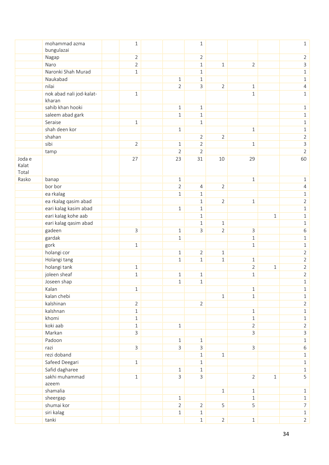|        | mohammad azma<br>bungulazai  | $1\,$          |                | $\mathbf{1}$   |                |                |       | $\mathbf{1}$   |
|--------|------------------------------|----------------|----------------|----------------|----------------|----------------|-------|----------------|
|        | Nagap                        | $\overline{2}$ |                | $\overline{2}$ |                |                |       | $\overline{2}$ |
|        | Naro                         | $\overline{2}$ |                | $1\,$          | $\,1$          | $\overline{2}$ |       | 3              |
|        | Naronki Shah Murad           | $1\,$          |                | $\mathbf{1}$   |                |                |       | $\mathbf{1}$   |
|        | Naukabad                     |                | $\mathbf 1$    | $\mathbf 1$    |                |                |       | $\mathbf{1}$   |
|        | nilai                        |                | $\overline{2}$ | 3              | $\overline{2}$ | $\mathbf{1}$   |       | 4              |
|        | nok abad nali jod-kalat-     | $1\,$          |                |                |                | $\,1\,$        |       |                |
|        | kharan                       |                |                |                |                |                |       | $\mathbf{1}$   |
|        | sahib khan hooki             |                | $\mathbf 1$    | $1\,$          |                |                |       | $\mathbf 1$    |
|        | saleem abad gark             |                | $\mathbf{1}$   | $\mathbf{1}$   |                |                |       | $\mathbf{1}$   |
|        | Seraise                      | $\mathbf{1}$   |                | $\mathbf 1$    |                |                |       | $\mathbf{1}$   |
|        | shah deen kor                |                | $\mathbf{1}$   |                |                | $\mathbf{1}$   |       | $\mathbf{1}$   |
|        | shahan                       |                |                | $\overline{2}$ | $\overline{2}$ |                |       | $\overline{2}$ |
|        | sibi                         | $\overline{2}$ | $\mathbf 1$    | $\overline{2}$ |                | $1\,$          |       | $\mathsf 3$    |
|        | tamp                         |                | $\overline{2}$ | $\overline{2}$ |                |                |       | $\overline{2}$ |
| Joda e |                              | 27             | 23             | 31             | 10             | 29             |       | 60             |
| Kalat  |                              |                |                |                |                |                |       |                |
| Total  |                              |                |                |                |                |                |       |                |
| Rasko  | banap                        |                | $\mathbf 1$    |                |                | $1\,$          |       | $\mathbf 1$    |
|        | bor bor                      |                | $\overline{2}$ | $\overline{4}$ | $\overline{2}$ |                |       | 4              |
|        | ea rkalag                    |                | $\mathbf{1}$   | $1\,$          |                |                |       | $\mathbf 1$    |
|        | ea rkalag qasim abad         |                |                | $\mathbf{1}$   | $\overline{2}$ | $1\,$          |       | $\overline{2}$ |
|        | eari kalag kasim abad        |                | $\mathbf 1$    | $\mathbf{1}$   |                |                |       | $1\,$          |
|        | eari kalag kohe aab          |                |                | $\mathbf{1}$   |                |                | $1\,$ | $1\,$          |
|        | eari kalag qasim abad        |                |                | $\mathbf 1$    | $1\,$          |                |       | $1\,$          |
|        | gadeen                       | $\mathsf{3}$   | $\mathbf 1$    | 3              | $\overline{2}$ | $\mathsf{3}$   |       | 6              |
|        | gardak                       |                | $\mathbf{1}$   |                |                | $\mathbf{1}$   |       | $\mathbf{1}$   |
|        | gork                         | $\mathbf{1}$   |                |                |                | $\mathbf{1}$   |       | $\mathbf 1$    |
|        | holangi cor                  |                | $\mathbf 1$    | $\overline{2}$ | $\mathbf{1}$   |                |       | $\overline{2}$ |
|        |                              |                | $\mathbf{1}$   | $\mathbf 1$    | $1\,$          | $\,1\,$        |       | $\overline{2}$ |
|        | Holangi tang                 | $\mathbf{1}$   |                |                |                | $\overline{2}$ | $1\,$ | $\overline{2}$ |
|        | holangi tank<br>joleen sheaf | $1\,$          |                |                |                |                |       | $\overline{2}$ |
|        |                              |                | $\mathbf 1$    | $\mathbf{1}$   |                | $1\,$          |       |                |
|        | Joseen shap                  |                | $\mathbf 1$    | $\mathbf 1$    |                |                |       | $1\,$          |
|        | Kalan                        | $\,1\,$        |                |                |                | $\mathbf{1}$   |       | $\mathbf{1}$   |
|        | kalan chebi                  |                |                |                | $\,1$          | $1\,$          |       | $1\,$          |
|        | kalshinan                    | $\overline{2}$ |                | $\overline{2}$ |                |                |       | $\overline{2}$ |
|        | kalshnan                     | $1\,$          |                |                |                | $1\,$          |       | $1\,$          |
|        | khomi                        | $\mathbf{1}$   |                |                |                | $\mathbf{1}$   |       | $1\,$          |
|        | koki aab                     | $1\,$          | $1\,$          |                |                | $\overline{2}$ |       | $\overline{2}$ |
|        | Markan                       | $\mathsf{3}$   |                |                |                | 3              |       | $\mathsf{3}$   |
|        | Padoon                       |                | $1\,$          | $1\,$          |                |                |       | $1\,$          |
|        | razi                         | $\mathsf{3}$   | 3              | $\mathsf{3}$   |                | $\mathsf{3}$   |       | 6              |
|        | rezi doband                  |                |                | $1\,$          | $\,1\,$        |                |       | $1\,$          |
|        | Safeed Deegari               | $1\,$          |                | $\mathbf 1$    |                |                |       | $1\,$          |
|        | Safid dagharee               |                | $\mathbf 1$    | $\mathbf{1}$   |                |                |       | $1\,$          |
|        | sakhi muhammad               | $\mathbf{1}$   | $\overline{3}$ | $\mathsf{3}$   |                | $\overline{2}$ | $1\,$ | 5              |
|        | azeem                        |                |                |                |                |                |       |                |
|        | shamalia                     |                |                |                | $\mathbf{1}$   | $1\,$          |       | $1\,$          |
|        | sheergap                     |                | $1\,$          |                |                | $\mathbf{1}$   |       | $1\,$          |
|        | shumai kor                   |                | $\overline{2}$ | $\overline{2}$ | 5              | 5              |       | $\overline{7}$ |
|        | siri kalag                   |                | $1\,$          | $\mathbf{1}$   |                |                |       | $1\,$          |
|        | tanki                        |                |                | $1\,$          | $\overline{2}$ | $1\,$          |       | $\overline{2}$ |
|        |                              |                |                |                |                |                |       |                |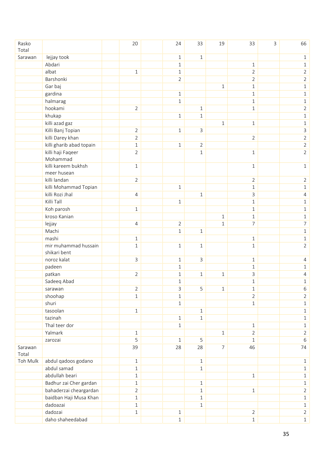| lejjay took<br>Sarawan<br>$1\,$<br>$\mathbf 1$<br>$\mathbf 1$<br>Abdari<br>$\mathbf 1$<br>$1\,$<br>$1\,$<br>albat<br>$\overline{2}$<br>$\mathbf{1}$<br>$\mathbf 1$<br>$\overline{2}$<br>Barshonki<br>$\overline{2}$<br>$\overline{2}$<br>$\overline{2}$<br>Gar baj<br>$\mathbf{1}$<br>$\mathbf{1}$<br>$\mathbf{1}$<br>gardina<br>$\mathbf{1}$<br>$\mathbf 1$<br>$\mathbf 1$<br>halmarag<br>$\mathbf{1}$<br>$\mathbf{1}$<br>$1\,$<br>hookami<br>$\overline{2}$<br>$1\,$<br>$\mathbf{1}$<br>$\overline{2}$<br>khukap<br>$\mathbf{1}$<br>$\mathbf{1}$<br>$\mathbf{1}$<br>killi azad gaz<br>$\mathbf{1}$<br>$\mathbf{1}$<br>$1\,$<br>Killi Banj Topian<br>$\overline{2}$<br>$\mathbf{1}$<br>$\mathsf{3}$<br>3<br>killi Darey khan<br>$\overline{2}$<br>$\overline{2}$<br>$\overline{2}$<br>killi gharib abad topain<br>$\overline{2}$<br>$\mathbf 1$<br>$\overline{2}$<br>$\mathbf{1}$<br>killi haji Faqeer<br>$\overline{2}$<br>$\mathbf{1}$<br>$\overline{2}$<br>$\mathbf{1}$<br>Mohammad<br>killi kareem bukhsh<br>$\mathbf{1}$<br>$\mathbf{1}$<br>$\mathbf{1}$<br>meer husean<br>killi landan<br>$\overline{2}$<br>$\overline{2}$<br>$\overline{2}$<br>killi Mohammad Topian<br>$1\,$<br>$\mathbf{1}$<br>$1\,$<br>killi Rozi Jhal<br>$\mathsf{3}$<br>$\mathbf{1}$<br>4<br>4<br>Killi Tall<br>$\mathbf{1}$<br>$\mathbf{1}$<br>$\mathbf{1}$<br>Koh parosh<br>$\mathbf{1}$<br>$\mathbf{1}$<br>$\mathbf{1}$<br>kroso Kanian<br>$\mathbf 1$<br>$\mathbf{1}$<br>$\mathbf{1}$<br>$\overline{7}$<br>$\overline{7}$<br>$\overline{2}$<br>lejjay<br>$\mathbf 1$<br>4<br>Machi<br>$\,1\,$<br>$1\,$<br>$1\,$<br>mashi<br>$\mathbf{1}$<br>$1\,$<br>$\mathbf{1}$<br>mir muhammad hussain<br>$\mathbf{1}$<br>1<br>$\mathbf{1}$<br>$\mathbf{1}$<br>$\overline{2}$<br>shikari bent<br>noroz kalat<br>$\mathsf{3}$<br>$\mathsf{3}$<br>$\mathbf 1$<br>$\mathbf{1}$<br>4<br>padeen<br>$1\,$<br>$\mathbf{1}$<br>$\mathbf 1$<br>patkan<br>$\ensuremath{\mathsf{3}}$<br>$\overline{2}$<br>$\mathbf 1$<br>$1\,$<br>$\mathbf{1}$<br>4<br>Sadeeq Abad<br>$\,1\,$<br>$\mathbf{1}$<br>$\mathbf{1}$<br>sarawan<br>$\overline{2}$<br>3<br>5<br>$\mathbf{1}$<br>$1\,$<br>6<br>shoohap<br>$\overline{2}$<br>$\mathbf{1}$<br>$\mathbf 1$<br>$\overline{2}$<br>shuri<br>$1\,$<br>$\mathbf{1}$<br>$1\,$<br>tasoolan<br>$\,1\,$<br>$1\,$<br>$\mathbf 1$<br>tazinah<br>$\mathbf{1}$<br>$\mathbf{1}$<br>$\mathbf{1}$<br>Thal teer dor<br>$1\,$<br>$1\,$<br>$\mathbf{1}$<br>Yalmark<br>$\overline{2}$<br>$\overline{2}$<br>$\mathbf 1$<br>$\mathbf{1}$<br>5<br>5<br>$1\,$<br>6<br>zarozai<br>$\mathbf{1}$<br>39<br>$\overline{7}$<br>46<br>74<br>Sarawan<br>28<br>28<br>Total<br>Toh Mulk<br>abdul qadoos godano<br>$1\,$<br>$1\,$<br>$1\,$<br>abdul samad<br>$\mathbf 1$<br>$\mathbf{1}$<br>$1\,$<br>abdullah beari<br>$\mathbf 1$<br>$1\,$<br>$1\,$<br>Badhur zai Cher gardan<br>$\mathbf{1}$<br>$\mathbf{1}$<br>$1\,$<br>bahaderzai cheargardan<br>$\overline{2}$<br>$1\,$<br>$\overline{2}$<br>$1\,$<br>baidban Haji Musa Khan<br>$\mathbf 1$<br>$1\,$<br>$\,1$<br>dadoazai<br>$\mathbf 1$<br>$\mathbf{1}$<br>$1\,$<br>dadozai<br>$\overline{2}$<br>$\overline{2}$<br>$\mathbf 1$<br>$1\,$ | Rasko<br>Total |                  | 20 | 24    | 33 | 19 | 33      | 3 | 66    |
|---------------------------------------------------------------------------------------------------------------------------------------------------------------------------------------------------------------------------------------------------------------------------------------------------------------------------------------------------------------------------------------------------------------------------------------------------------------------------------------------------------------------------------------------------------------------------------------------------------------------------------------------------------------------------------------------------------------------------------------------------------------------------------------------------------------------------------------------------------------------------------------------------------------------------------------------------------------------------------------------------------------------------------------------------------------------------------------------------------------------------------------------------------------------------------------------------------------------------------------------------------------------------------------------------------------------------------------------------------------------------------------------------------------------------------------------------------------------------------------------------------------------------------------------------------------------------------------------------------------------------------------------------------------------------------------------------------------------------------------------------------------------------------------------------------------------------------------------------------------------------------------------------------------------------------------------------------------------------------------------------------------------------------------------------------------------------------------------------------------------------------------------------------------------------------------------------------------------------------------------------------------------------------------------------------------------------------------------------------------------------------------------------------------------------------------------------------------------------------------------------------------------------------------------------------------------------------------------------------------------------------------------------------------------------------------------------------------------------------------------------------------------------------------------------------------------------------------------------------------------------------------------------------------------------------------------------------------------------------------------------------------------------------------------------------------------------------------------------------------------------------------------------------|----------------|------------------|----|-------|----|----|---------|---|-------|
|                                                                                                                                                                                                                                                                                                                                                                                                                                                                                                                                                                                                                                                                                                                                                                                                                                                                                                                                                                                                                                                                                                                                                                                                                                                                                                                                                                                                                                                                                                                                                                                                                                                                                                                                                                                                                                                                                                                                                                                                                                                                                                                                                                                                                                                                                                                                                                                                                                                                                                                                                                                                                                                                                                                                                                                                                                                                                                                                                                                                                                                                                                                                                         |                |                  |    |       |    |    |         |   |       |
|                                                                                                                                                                                                                                                                                                                                                                                                                                                                                                                                                                                                                                                                                                                                                                                                                                                                                                                                                                                                                                                                                                                                                                                                                                                                                                                                                                                                                                                                                                                                                                                                                                                                                                                                                                                                                                                                                                                                                                                                                                                                                                                                                                                                                                                                                                                                                                                                                                                                                                                                                                                                                                                                                                                                                                                                                                                                                                                                                                                                                                                                                                                                                         |                |                  |    |       |    |    |         |   |       |
|                                                                                                                                                                                                                                                                                                                                                                                                                                                                                                                                                                                                                                                                                                                                                                                                                                                                                                                                                                                                                                                                                                                                                                                                                                                                                                                                                                                                                                                                                                                                                                                                                                                                                                                                                                                                                                                                                                                                                                                                                                                                                                                                                                                                                                                                                                                                                                                                                                                                                                                                                                                                                                                                                                                                                                                                                                                                                                                                                                                                                                                                                                                                                         |                |                  |    |       |    |    |         |   |       |
|                                                                                                                                                                                                                                                                                                                                                                                                                                                                                                                                                                                                                                                                                                                                                                                                                                                                                                                                                                                                                                                                                                                                                                                                                                                                                                                                                                                                                                                                                                                                                                                                                                                                                                                                                                                                                                                                                                                                                                                                                                                                                                                                                                                                                                                                                                                                                                                                                                                                                                                                                                                                                                                                                                                                                                                                                                                                                                                                                                                                                                                                                                                                                         |                |                  |    |       |    |    |         |   |       |
|                                                                                                                                                                                                                                                                                                                                                                                                                                                                                                                                                                                                                                                                                                                                                                                                                                                                                                                                                                                                                                                                                                                                                                                                                                                                                                                                                                                                                                                                                                                                                                                                                                                                                                                                                                                                                                                                                                                                                                                                                                                                                                                                                                                                                                                                                                                                                                                                                                                                                                                                                                                                                                                                                                                                                                                                                                                                                                                                                                                                                                                                                                                                                         |                |                  |    |       |    |    |         |   |       |
|                                                                                                                                                                                                                                                                                                                                                                                                                                                                                                                                                                                                                                                                                                                                                                                                                                                                                                                                                                                                                                                                                                                                                                                                                                                                                                                                                                                                                                                                                                                                                                                                                                                                                                                                                                                                                                                                                                                                                                                                                                                                                                                                                                                                                                                                                                                                                                                                                                                                                                                                                                                                                                                                                                                                                                                                                                                                                                                                                                                                                                                                                                                                                         |                |                  |    |       |    |    |         |   |       |
|                                                                                                                                                                                                                                                                                                                                                                                                                                                                                                                                                                                                                                                                                                                                                                                                                                                                                                                                                                                                                                                                                                                                                                                                                                                                                                                                                                                                                                                                                                                                                                                                                                                                                                                                                                                                                                                                                                                                                                                                                                                                                                                                                                                                                                                                                                                                                                                                                                                                                                                                                                                                                                                                                                                                                                                                                                                                                                                                                                                                                                                                                                                                                         |                |                  |    |       |    |    |         |   |       |
|                                                                                                                                                                                                                                                                                                                                                                                                                                                                                                                                                                                                                                                                                                                                                                                                                                                                                                                                                                                                                                                                                                                                                                                                                                                                                                                                                                                                                                                                                                                                                                                                                                                                                                                                                                                                                                                                                                                                                                                                                                                                                                                                                                                                                                                                                                                                                                                                                                                                                                                                                                                                                                                                                                                                                                                                                                                                                                                                                                                                                                                                                                                                                         |                |                  |    |       |    |    |         |   |       |
|                                                                                                                                                                                                                                                                                                                                                                                                                                                                                                                                                                                                                                                                                                                                                                                                                                                                                                                                                                                                                                                                                                                                                                                                                                                                                                                                                                                                                                                                                                                                                                                                                                                                                                                                                                                                                                                                                                                                                                                                                                                                                                                                                                                                                                                                                                                                                                                                                                                                                                                                                                                                                                                                                                                                                                                                                                                                                                                                                                                                                                                                                                                                                         |                |                  |    |       |    |    |         |   |       |
|                                                                                                                                                                                                                                                                                                                                                                                                                                                                                                                                                                                                                                                                                                                                                                                                                                                                                                                                                                                                                                                                                                                                                                                                                                                                                                                                                                                                                                                                                                                                                                                                                                                                                                                                                                                                                                                                                                                                                                                                                                                                                                                                                                                                                                                                                                                                                                                                                                                                                                                                                                                                                                                                                                                                                                                                                                                                                                                                                                                                                                                                                                                                                         |                |                  |    |       |    |    |         |   |       |
|                                                                                                                                                                                                                                                                                                                                                                                                                                                                                                                                                                                                                                                                                                                                                                                                                                                                                                                                                                                                                                                                                                                                                                                                                                                                                                                                                                                                                                                                                                                                                                                                                                                                                                                                                                                                                                                                                                                                                                                                                                                                                                                                                                                                                                                                                                                                                                                                                                                                                                                                                                                                                                                                                                                                                                                                                                                                                                                                                                                                                                                                                                                                                         |                |                  |    |       |    |    |         |   |       |
|                                                                                                                                                                                                                                                                                                                                                                                                                                                                                                                                                                                                                                                                                                                                                                                                                                                                                                                                                                                                                                                                                                                                                                                                                                                                                                                                                                                                                                                                                                                                                                                                                                                                                                                                                                                                                                                                                                                                                                                                                                                                                                                                                                                                                                                                                                                                                                                                                                                                                                                                                                                                                                                                                                                                                                                                                                                                                                                                                                                                                                                                                                                                                         |                |                  |    |       |    |    |         |   |       |
|                                                                                                                                                                                                                                                                                                                                                                                                                                                                                                                                                                                                                                                                                                                                                                                                                                                                                                                                                                                                                                                                                                                                                                                                                                                                                                                                                                                                                                                                                                                                                                                                                                                                                                                                                                                                                                                                                                                                                                                                                                                                                                                                                                                                                                                                                                                                                                                                                                                                                                                                                                                                                                                                                                                                                                                                                                                                                                                                                                                                                                                                                                                                                         |                |                  |    |       |    |    |         |   |       |
|                                                                                                                                                                                                                                                                                                                                                                                                                                                                                                                                                                                                                                                                                                                                                                                                                                                                                                                                                                                                                                                                                                                                                                                                                                                                                                                                                                                                                                                                                                                                                                                                                                                                                                                                                                                                                                                                                                                                                                                                                                                                                                                                                                                                                                                                                                                                                                                                                                                                                                                                                                                                                                                                                                                                                                                                                                                                                                                                                                                                                                                                                                                                                         |                |                  |    |       |    |    |         |   |       |
|                                                                                                                                                                                                                                                                                                                                                                                                                                                                                                                                                                                                                                                                                                                                                                                                                                                                                                                                                                                                                                                                                                                                                                                                                                                                                                                                                                                                                                                                                                                                                                                                                                                                                                                                                                                                                                                                                                                                                                                                                                                                                                                                                                                                                                                                                                                                                                                                                                                                                                                                                                                                                                                                                                                                                                                                                                                                                                                                                                                                                                                                                                                                                         |                |                  |    |       |    |    |         |   |       |
|                                                                                                                                                                                                                                                                                                                                                                                                                                                                                                                                                                                                                                                                                                                                                                                                                                                                                                                                                                                                                                                                                                                                                                                                                                                                                                                                                                                                                                                                                                                                                                                                                                                                                                                                                                                                                                                                                                                                                                                                                                                                                                                                                                                                                                                                                                                                                                                                                                                                                                                                                                                                                                                                                                                                                                                                                                                                                                                                                                                                                                                                                                                                                         |                |                  |    |       |    |    |         |   |       |
|                                                                                                                                                                                                                                                                                                                                                                                                                                                                                                                                                                                                                                                                                                                                                                                                                                                                                                                                                                                                                                                                                                                                                                                                                                                                                                                                                                                                                                                                                                                                                                                                                                                                                                                                                                                                                                                                                                                                                                                                                                                                                                                                                                                                                                                                                                                                                                                                                                                                                                                                                                                                                                                                                                                                                                                                                                                                                                                                                                                                                                                                                                                                                         |                |                  |    |       |    |    |         |   |       |
|                                                                                                                                                                                                                                                                                                                                                                                                                                                                                                                                                                                                                                                                                                                                                                                                                                                                                                                                                                                                                                                                                                                                                                                                                                                                                                                                                                                                                                                                                                                                                                                                                                                                                                                                                                                                                                                                                                                                                                                                                                                                                                                                                                                                                                                                                                                                                                                                                                                                                                                                                                                                                                                                                                                                                                                                                                                                                                                                                                                                                                                                                                                                                         |                |                  |    |       |    |    |         |   |       |
|                                                                                                                                                                                                                                                                                                                                                                                                                                                                                                                                                                                                                                                                                                                                                                                                                                                                                                                                                                                                                                                                                                                                                                                                                                                                                                                                                                                                                                                                                                                                                                                                                                                                                                                                                                                                                                                                                                                                                                                                                                                                                                                                                                                                                                                                                                                                                                                                                                                                                                                                                                                                                                                                                                                                                                                                                                                                                                                                                                                                                                                                                                                                                         |                |                  |    |       |    |    |         |   |       |
|                                                                                                                                                                                                                                                                                                                                                                                                                                                                                                                                                                                                                                                                                                                                                                                                                                                                                                                                                                                                                                                                                                                                                                                                                                                                                                                                                                                                                                                                                                                                                                                                                                                                                                                                                                                                                                                                                                                                                                                                                                                                                                                                                                                                                                                                                                                                                                                                                                                                                                                                                                                                                                                                                                                                                                                                                                                                                                                                                                                                                                                                                                                                                         |                |                  |    |       |    |    |         |   |       |
|                                                                                                                                                                                                                                                                                                                                                                                                                                                                                                                                                                                                                                                                                                                                                                                                                                                                                                                                                                                                                                                                                                                                                                                                                                                                                                                                                                                                                                                                                                                                                                                                                                                                                                                                                                                                                                                                                                                                                                                                                                                                                                                                                                                                                                                                                                                                                                                                                                                                                                                                                                                                                                                                                                                                                                                                                                                                                                                                                                                                                                                                                                                                                         |                |                  |    |       |    |    |         |   |       |
|                                                                                                                                                                                                                                                                                                                                                                                                                                                                                                                                                                                                                                                                                                                                                                                                                                                                                                                                                                                                                                                                                                                                                                                                                                                                                                                                                                                                                                                                                                                                                                                                                                                                                                                                                                                                                                                                                                                                                                                                                                                                                                                                                                                                                                                                                                                                                                                                                                                                                                                                                                                                                                                                                                                                                                                                                                                                                                                                                                                                                                                                                                                                                         |                |                  |    |       |    |    |         |   |       |
|                                                                                                                                                                                                                                                                                                                                                                                                                                                                                                                                                                                                                                                                                                                                                                                                                                                                                                                                                                                                                                                                                                                                                                                                                                                                                                                                                                                                                                                                                                                                                                                                                                                                                                                                                                                                                                                                                                                                                                                                                                                                                                                                                                                                                                                                                                                                                                                                                                                                                                                                                                                                                                                                                                                                                                                                                                                                                                                                                                                                                                                                                                                                                         |                |                  |    |       |    |    |         |   |       |
|                                                                                                                                                                                                                                                                                                                                                                                                                                                                                                                                                                                                                                                                                                                                                                                                                                                                                                                                                                                                                                                                                                                                                                                                                                                                                                                                                                                                                                                                                                                                                                                                                                                                                                                                                                                                                                                                                                                                                                                                                                                                                                                                                                                                                                                                                                                                                                                                                                                                                                                                                                                                                                                                                                                                                                                                                                                                                                                                                                                                                                                                                                                                                         |                |                  |    |       |    |    |         |   |       |
|                                                                                                                                                                                                                                                                                                                                                                                                                                                                                                                                                                                                                                                                                                                                                                                                                                                                                                                                                                                                                                                                                                                                                                                                                                                                                                                                                                                                                                                                                                                                                                                                                                                                                                                                                                                                                                                                                                                                                                                                                                                                                                                                                                                                                                                                                                                                                                                                                                                                                                                                                                                                                                                                                                                                                                                                                                                                                                                                                                                                                                                                                                                                                         |                |                  |    |       |    |    |         |   |       |
|                                                                                                                                                                                                                                                                                                                                                                                                                                                                                                                                                                                                                                                                                                                                                                                                                                                                                                                                                                                                                                                                                                                                                                                                                                                                                                                                                                                                                                                                                                                                                                                                                                                                                                                                                                                                                                                                                                                                                                                                                                                                                                                                                                                                                                                                                                                                                                                                                                                                                                                                                                                                                                                                                                                                                                                                                                                                                                                                                                                                                                                                                                                                                         |                |                  |    |       |    |    |         |   |       |
|                                                                                                                                                                                                                                                                                                                                                                                                                                                                                                                                                                                                                                                                                                                                                                                                                                                                                                                                                                                                                                                                                                                                                                                                                                                                                                                                                                                                                                                                                                                                                                                                                                                                                                                                                                                                                                                                                                                                                                                                                                                                                                                                                                                                                                                                                                                                                                                                                                                                                                                                                                                                                                                                                                                                                                                                                                                                                                                                                                                                                                                                                                                                                         |                |                  |    |       |    |    |         |   |       |
|                                                                                                                                                                                                                                                                                                                                                                                                                                                                                                                                                                                                                                                                                                                                                                                                                                                                                                                                                                                                                                                                                                                                                                                                                                                                                                                                                                                                                                                                                                                                                                                                                                                                                                                                                                                                                                                                                                                                                                                                                                                                                                                                                                                                                                                                                                                                                                                                                                                                                                                                                                                                                                                                                                                                                                                                                                                                                                                                                                                                                                                                                                                                                         |                |                  |    |       |    |    |         |   |       |
|                                                                                                                                                                                                                                                                                                                                                                                                                                                                                                                                                                                                                                                                                                                                                                                                                                                                                                                                                                                                                                                                                                                                                                                                                                                                                                                                                                                                                                                                                                                                                                                                                                                                                                                                                                                                                                                                                                                                                                                                                                                                                                                                                                                                                                                                                                                                                                                                                                                                                                                                                                                                                                                                                                                                                                                                                                                                                                                                                                                                                                                                                                                                                         |                |                  |    |       |    |    |         |   |       |
|                                                                                                                                                                                                                                                                                                                                                                                                                                                                                                                                                                                                                                                                                                                                                                                                                                                                                                                                                                                                                                                                                                                                                                                                                                                                                                                                                                                                                                                                                                                                                                                                                                                                                                                                                                                                                                                                                                                                                                                                                                                                                                                                                                                                                                                                                                                                                                                                                                                                                                                                                                                                                                                                                                                                                                                                                                                                                                                                                                                                                                                                                                                                                         |                |                  |    |       |    |    |         |   |       |
|                                                                                                                                                                                                                                                                                                                                                                                                                                                                                                                                                                                                                                                                                                                                                                                                                                                                                                                                                                                                                                                                                                                                                                                                                                                                                                                                                                                                                                                                                                                                                                                                                                                                                                                                                                                                                                                                                                                                                                                                                                                                                                                                                                                                                                                                                                                                                                                                                                                                                                                                                                                                                                                                                                                                                                                                                                                                                                                                                                                                                                                                                                                                                         |                |                  |    |       |    |    |         |   |       |
|                                                                                                                                                                                                                                                                                                                                                                                                                                                                                                                                                                                                                                                                                                                                                                                                                                                                                                                                                                                                                                                                                                                                                                                                                                                                                                                                                                                                                                                                                                                                                                                                                                                                                                                                                                                                                                                                                                                                                                                                                                                                                                                                                                                                                                                                                                                                                                                                                                                                                                                                                                                                                                                                                                                                                                                                                                                                                                                                                                                                                                                                                                                                                         |                |                  |    |       |    |    |         |   |       |
|                                                                                                                                                                                                                                                                                                                                                                                                                                                                                                                                                                                                                                                                                                                                                                                                                                                                                                                                                                                                                                                                                                                                                                                                                                                                                                                                                                                                                                                                                                                                                                                                                                                                                                                                                                                                                                                                                                                                                                                                                                                                                                                                                                                                                                                                                                                                                                                                                                                                                                                                                                                                                                                                                                                                                                                                                                                                                                                                                                                                                                                                                                                                                         |                |                  |    |       |    |    |         |   |       |
|                                                                                                                                                                                                                                                                                                                                                                                                                                                                                                                                                                                                                                                                                                                                                                                                                                                                                                                                                                                                                                                                                                                                                                                                                                                                                                                                                                                                                                                                                                                                                                                                                                                                                                                                                                                                                                                                                                                                                                                                                                                                                                                                                                                                                                                                                                                                                                                                                                                                                                                                                                                                                                                                                                                                                                                                                                                                                                                                                                                                                                                                                                                                                         |                |                  |    |       |    |    |         |   |       |
|                                                                                                                                                                                                                                                                                                                                                                                                                                                                                                                                                                                                                                                                                                                                                                                                                                                                                                                                                                                                                                                                                                                                                                                                                                                                                                                                                                                                                                                                                                                                                                                                                                                                                                                                                                                                                                                                                                                                                                                                                                                                                                                                                                                                                                                                                                                                                                                                                                                                                                                                                                                                                                                                                                                                                                                                                                                                                                                                                                                                                                                                                                                                                         |                |                  |    |       |    |    |         |   |       |
|                                                                                                                                                                                                                                                                                                                                                                                                                                                                                                                                                                                                                                                                                                                                                                                                                                                                                                                                                                                                                                                                                                                                                                                                                                                                                                                                                                                                                                                                                                                                                                                                                                                                                                                                                                                                                                                                                                                                                                                                                                                                                                                                                                                                                                                                                                                                                                                                                                                                                                                                                                                                                                                                                                                                                                                                                                                                                                                                                                                                                                                                                                                                                         |                |                  |    |       |    |    |         |   |       |
|                                                                                                                                                                                                                                                                                                                                                                                                                                                                                                                                                                                                                                                                                                                                                                                                                                                                                                                                                                                                                                                                                                                                                                                                                                                                                                                                                                                                                                                                                                                                                                                                                                                                                                                                                                                                                                                                                                                                                                                                                                                                                                                                                                                                                                                                                                                                                                                                                                                                                                                                                                                                                                                                                                                                                                                                                                                                                                                                                                                                                                                                                                                                                         |                |                  |    |       |    |    |         |   |       |
|                                                                                                                                                                                                                                                                                                                                                                                                                                                                                                                                                                                                                                                                                                                                                                                                                                                                                                                                                                                                                                                                                                                                                                                                                                                                                                                                                                                                                                                                                                                                                                                                                                                                                                                                                                                                                                                                                                                                                                                                                                                                                                                                                                                                                                                                                                                                                                                                                                                                                                                                                                                                                                                                                                                                                                                                                                                                                                                                                                                                                                                                                                                                                         |                |                  |    |       |    |    |         |   |       |
|                                                                                                                                                                                                                                                                                                                                                                                                                                                                                                                                                                                                                                                                                                                                                                                                                                                                                                                                                                                                                                                                                                                                                                                                                                                                                                                                                                                                                                                                                                                                                                                                                                                                                                                                                                                                                                                                                                                                                                                                                                                                                                                                                                                                                                                                                                                                                                                                                                                                                                                                                                                                                                                                                                                                                                                                                                                                                                                                                                                                                                                                                                                                                         |                |                  |    |       |    |    |         |   |       |
|                                                                                                                                                                                                                                                                                                                                                                                                                                                                                                                                                                                                                                                                                                                                                                                                                                                                                                                                                                                                                                                                                                                                                                                                                                                                                                                                                                                                                                                                                                                                                                                                                                                                                                                                                                                                                                                                                                                                                                                                                                                                                                                                                                                                                                                                                                                                                                                                                                                                                                                                                                                                                                                                                                                                                                                                                                                                                                                                                                                                                                                                                                                                                         |                |                  |    |       |    |    |         |   |       |
|                                                                                                                                                                                                                                                                                                                                                                                                                                                                                                                                                                                                                                                                                                                                                                                                                                                                                                                                                                                                                                                                                                                                                                                                                                                                                                                                                                                                                                                                                                                                                                                                                                                                                                                                                                                                                                                                                                                                                                                                                                                                                                                                                                                                                                                                                                                                                                                                                                                                                                                                                                                                                                                                                                                                                                                                                                                                                                                                                                                                                                                                                                                                                         |                |                  |    |       |    |    |         |   |       |
|                                                                                                                                                                                                                                                                                                                                                                                                                                                                                                                                                                                                                                                                                                                                                                                                                                                                                                                                                                                                                                                                                                                                                                                                                                                                                                                                                                                                                                                                                                                                                                                                                                                                                                                                                                                                                                                                                                                                                                                                                                                                                                                                                                                                                                                                                                                                                                                                                                                                                                                                                                                                                                                                                                                                                                                                                                                                                                                                                                                                                                                                                                                                                         |                |                  |    |       |    |    |         |   |       |
|                                                                                                                                                                                                                                                                                                                                                                                                                                                                                                                                                                                                                                                                                                                                                                                                                                                                                                                                                                                                                                                                                                                                                                                                                                                                                                                                                                                                                                                                                                                                                                                                                                                                                                                                                                                                                                                                                                                                                                                                                                                                                                                                                                                                                                                                                                                                                                                                                                                                                                                                                                                                                                                                                                                                                                                                                                                                                                                                                                                                                                                                                                                                                         |                |                  |    |       |    |    |         |   |       |
|                                                                                                                                                                                                                                                                                                                                                                                                                                                                                                                                                                                                                                                                                                                                                                                                                                                                                                                                                                                                                                                                                                                                                                                                                                                                                                                                                                                                                                                                                                                                                                                                                                                                                                                                                                                                                                                                                                                                                                                                                                                                                                                                                                                                                                                                                                                                                                                                                                                                                                                                                                                                                                                                                                                                                                                                                                                                                                                                                                                                                                                                                                                                                         |                |                  |    |       |    |    |         |   |       |
|                                                                                                                                                                                                                                                                                                                                                                                                                                                                                                                                                                                                                                                                                                                                                                                                                                                                                                                                                                                                                                                                                                                                                                                                                                                                                                                                                                                                                                                                                                                                                                                                                                                                                                                                                                                                                                                                                                                                                                                                                                                                                                                                                                                                                                                                                                                                                                                                                                                                                                                                                                                                                                                                                                                                                                                                                                                                                                                                                                                                                                                                                                                                                         |                |                  |    |       |    |    |         |   |       |
|                                                                                                                                                                                                                                                                                                                                                                                                                                                                                                                                                                                                                                                                                                                                                                                                                                                                                                                                                                                                                                                                                                                                                                                                                                                                                                                                                                                                                                                                                                                                                                                                                                                                                                                                                                                                                                                                                                                                                                                                                                                                                                                                                                                                                                                                                                                                                                                                                                                                                                                                                                                                                                                                                                                                                                                                                                                                                                                                                                                                                                                                                                                                                         |                |                  |    |       |    |    |         |   |       |
|                                                                                                                                                                                                                                                                                                                                                                                                                                                                                                                                                                                                                                                                                                                                                                                                                                                                                                                                                                                                                                                                                                                                                                                                                                                                                                                                                                                                                                                                                                                                                                                                                                                                                                                                                                                                                                                                                                                                                                                                                                                                                                                                                                                                                                                                                                                                                                                                                                                                                                                                                                                                                                                                                                                                                                                                                                                                                                                                                                                                                                                                                                                                                         |                |                  |    |       |    |    |         |   |       |
|                                                                                                                                                                                                                                                                                                                                                                                                                                                                                                                                                                                                                                                                                                                                                                                                                                                                                                                                                                                                                                                                                                                                                                                                                                                                                                                                                                                                                                                                                                                                                                                                                                                                                                                                                                                                                                                                                                                                                                                                                                                                                                                                                                                                                                                                                                                                                                                                                                                                                                                                                                                                                                                                                                                                                                                                                                                                                                                                                                                                                                                                                                                                                         |                |                  |    |       |    |    |         |   |       |
|                                                                                                                                                                                                                                                                                                                                                                                                                                                                                                                                                                                                                                                                                                                                                                                                                                                                                                                                                                                                                                                                                                                                                                                                                                                                                                                                                                                                                                                                                                                                                                                                                                                                                                                                                                                                                                                                                                                                                                                                                                                                                                                                                                                                                                                                                                                                                                                                                                                                                                                                                                                                                                                                                                                                                                                                                                                                                                                                                                                                                                                                                                                                                         |                |                  |    |       |    |    |         |   |       |
|                                                                                                                                                                                                                                                                                                                                                                                                                                                                                                                                                                                                                                                                                                                                                                                                                                                                                                                                                                                                                                                                                                                                                                                                                                                                                                                                                                                                                                                                                                                                                                                                                                                                                                                                                                                                                                                                                                                                                                                                                                                                                                                                                                                                                                                                                                                                                                                                                                                                                                                                                                                                                                                                                                                                                                                                                                                                                                                                                                                                                                                                                                                                                         |                |                  |    |       |    |    |         |   |       |
|                                                                                                                                                                                                                                                                                                                                                                                                                                                                                                                                                                                                                                                                                                                                                                                                                                                                                                                                                                                                                                                                                                                                                                                                                                                                                                                                                                                                                                                                                                                                                                                                                                                                                                                                                                                                                                                                                                                                                                                                                                                                                                                                                                                                                                                                                                                                                                                                                                                                                                                                                                                                                                                                                                                                                                                                                                                                                                                                                                                                                                                                                                                                                         |                | daho shaheedabad |    | $\,1$ |    |    | $\,1\,$ |   | $\,1$ |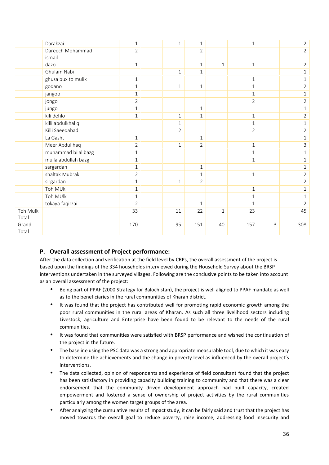|                          | Darakzai            | $\mathbf 1$    | $\mathbf{1}$   | $\mathbf{1}$   |              | $\mathbf{1}$   |   | $\overline{2}$ |
|--------------------------|---------------------|----------------|----------------|----------------|--------------|----------------|---|----------------|
|                          | Dareech Mohammad    | $\overline{2}$ |                | $\overline{2}$ |              |                |   | $\overline{2}$ |
|                          | ismail              |                |                |                |              |                |   |                |
|                          | dazo                | $\mathbf{1}$   |                | $1\,$          | $\mathbf{1}$ | $\mathbf{1}$   |   | $\overline{2}$ |
|                          | Ghulam Nabi         |                | $1\,$          | $\mathbf{1}$   |              |                |   | $\mathbf{1}$   |
|                          | ghusa bux to mulik  | 1              |                |                |              | $\mathbf{1}$   |   | 1              |
|                          | godano              | $\mathbf{1}$   | $\mathbf{1}$   | $\mathbf{1}$   |              | $\mathbf{1}$   |   | $\overline{2}$ |
|                          | jangoo              | $1\,$          |                |                |              | $1\,$          |   | $\mathbf{1}$   |
|                          | jongo               | $\overline{2}$ |                |                |              | $\overline{2}$ |   | $\overline{2}$ |
|                          | jungo               | $\mathbf{1}$   |                | $\mathbf{1}$   |              |                |   | $\mathbf{1}$   |
|                          | kili dehlo          | $\mathbf{1}$   | $\mathbf{1}$   | $1\,$          |              | $1\,$          |   | $\overline{2}$ |
|                          | killi abdulkhaliq   |                | $\mathbf{1}$   |                |              | $1\,$          |   | $\mathbf{1}$   |
|                          | Killi Saeedabad     |                | $\overline{2}$ |                |              | $\overline{2}$ |   | $\overline{2}$ |
|                          | La Gasht            | $\mathbf{1}$   |                | $\mathbf{1}$   |              |                |   | $\mathbf{1}$   |
|                          | Meer Abdul haq      | $\overline{2}$ | $\mathbf{1}$   | $\overline{2}$ |              | $\mathbf{1}$   |   | 3              |
|                          | muhammad bilal bazg | $\mathbf{1}$   |                |                |              | $\mathbf{1}$   |   | $\mathbf{1}$   |
|                          | mulla abdullah bazg | $\mathbf{1}$   |                |                |              | $1\,$          |   | $\mathbf{1}$   |
|                          | sargardan           | $\mathbf{1}$   |                | $\mathbf{1}$   |              |                |   | $\mathbf{1}$   |
|                          | shaltak Mubrak      | $\overline{2}$ |                | $\mathbf{1}$   |              | $1\,$          |   | $\overline{2}$ |
|                          | sirgardan           | $\mathbf{1}$   | $\mathbf{1}$   | $\overline{2}$ |              |                |   | $\overline{2}$ |
|                          | Toh MUk             | 1              |                |                |              | $\mathbf{1}$   |   | $\mathbf{1}$   |
|                          | Toh MUlk            | $\mathbf{1}$   |                |                |              | $\mathbf{1}$   |   | $\mathbf{1}$   |
|                          | tokaya faqirzai     | $\overline{2}$ |                | $\mathbf{1}$   |              | $\mathbf{1}$   |   | $\overline{2}$ |
| <b>Toh Mulk</b><br>Total |                     | 33             | 11             | 22             | $\mathbf{1}$ | 23             |   | 45             |
| Grand<br>Total           |                     | 170            | 95             | 151            | 40           | 157            | 3 | 308            |

## **P. Overall assessment of Project performance:**

After the data collection and verification at the field level by CRPs, the overall assessment of the project is based upon the findings of the 334 households interviewed during the Household Survey about the BRSP interventions undertaken in the surveyed villages. Following are the conclusive points to be taken into account as an overall assessment of the project:

- Being part of PPAF (2000 Strategy for Balochistan), the project is well aligned to PPAF mandate as well as to the beneficiaries in the rural communities of Kharan district.
- It was found that the project has contributed well for promoting rapid economic growth among the poor rural communities in the rural areas of Kharan. As such all three livelihood sectors including Livestock, agriculture and Enterprise have been found to be relevant to the needs of the rural communities.
- It was found that communities were satisfied with BRSP performance and wished the continuation of the project in the future.
- The baseline using the PSC data was a strong and appropriate measurable tool, due to which it was easy to determine the achievements and the change in poverty level as influenced by the overall project's interventions.
- The data collected, opinion of respondents and experience of field consultant found that the project has been satisfactory in providing capacity building training to community and that there was a clear endorsement that the community driven development approach had built capacity, created empowerment and fostered a sense of ownership of project activities by the rural communities particularly among the women target groups of the area.
- After analyzing the cumulative results of impact study, it can be fairly said and trust that the project has moved towards the overall goal to reduce poverty, raise income, addressing food insecurity and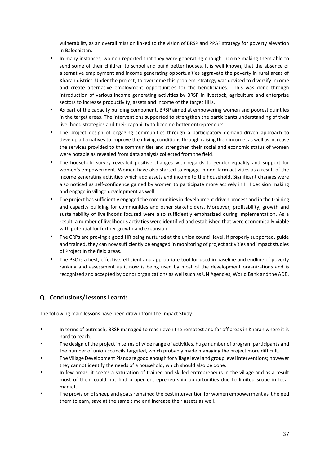vulnerability as an overall mission linked to the vision of BRSP and PPAF strategy for poverty elevation in Balochistan.

- In many instances, women reported that they were generating enough income making them able to send some of their children to school and build better houses. It is well known, that the absence of alternative employment and income generating opportunities aggravate the poverty in rural areas of Kharan district. Under the project, to overcome this problem, strategy was devised to diversify income and create alternative employment opportunities for the beneficiaries. This was done through introduction of various income generating activities by BRSP in livestock, agriculture and enterprise sectors to increase productivity, assets and income of the target HHs.
- As part of the capacity building component, BRSP aimed at empowering women and poorest quintiles in the target areas. The interventions supported to strengthen the participants understanding of their livelihood strategies and their capability to become better entrepreneurs.
- The project design of engaging communities through a participatory demand-driven approach to develop alternatives to improve their living conditions through raising their income, as well as increase the services provided to the communities and strengthen their social and economic status of women were notable as revealed from data analysis collected from the field.
- The household survey revealed positive changes with regards to gender equality and support for women's empowerment. Women have also started to engage in non-farm activities as a result of the income generating activities which add assets and income to the household. Significant changes were also noticed as self-confidence gained by women to participate more actively in HH decision making and engage in village development as well.
- The project hassufficiently engaged the communities in development driven process and in the training and capacity building for communities and other stakeholders. Moreover, profitability, growth and sustainability of livelihoods focused were also sufficiently emphasized during implementation. As a result, a number of livelihoods activities were identified and established that were economically viable with potential for further growth and expansion.
- The CRPs are proving a good HR being nurtured at the union council level. If properly supported, guide and trained, they can now sufficiently be engaged in monitoring of project activities and impact studies of Project in the field areas.
- The PSC is a best, effective, efficient and appropriate tool for used in baseline and endline of poverty ranking and assessment as it now is being used by most of the development organizations and is recognized and accepted by donor organizations as well such as UN Agencies, World Bank and the ADB.

## **Q. Conclusions/Lessons Learnt:**

The following main lessons have been drawn from the Impact Study:

- In terms of outreach, BRSP managed to reach even the remotest and far off areas in Kharan where it is hard to reach.
- The design of the project in terms of wide range of activities, huge number of program participants and the number of union councils targeted, which probably made managing the project more difficult.
- The Village Development Plans are good enough for village level and group level interventions; however they cannot identify the needs of a household, which should also be done.
- In few areas, it seems a saturation of trained and skilled entrepreneurs in the village and as a result most of them could not find proper entrepreneurship opportunities due to limited scope in local market.
- The provision of sheep and goats remained the best intervention for women empowerment as it helped them to earn, save at the same time and increase their assets as well.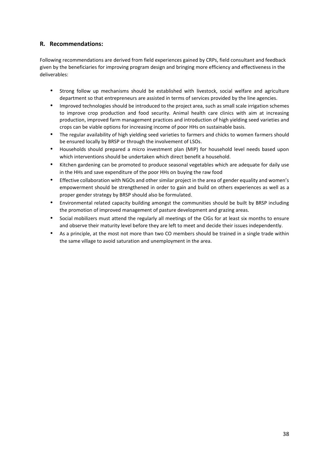## **R. Recommendations:**

Following recommendations are derived from field experiences gained by CRPs, field consultant and feedback given by the beneficiaries for improving program design and bringing more efficiency and effectiveness in the deliverables:

- Strong follow up mechanisms should be established with livestock, social welfare and agriculture department so that entrepreneurs are assisted in terms of services provided by the line agencies.
- Improved technologies should be introduced to the project area, such as small scale irrigation schemes to improve crop production and food security. Animal health care clinics with aim at increasing production, improved farm management practices and introduction of high yielding seed varieties and crops can be viable options for increasing income of poor HHs on sustainable basis.
- The regular availability of high yielding seed varieties to farmers and chicks to women farmers should be ensured locally by BRSP or through the involvement of LSOs.
- Households should prepared a micro investment plan (MIP) for household level needs based upon which interventions should be undertaken which direct benefit a household.
- Kitchen gardening can be promoted to produce seasonal vegetables which are adequate for daily use in the HHs and save expenditure of the poor HHs on buying the raw food
- Effective collaboration with NGOs and other similar project in the area of gender equality and women's empowerment should be strengthened in order to gain and build on others experiences as well as a proper gender strategy by BRSP should also be formulated.
- Environmental related capacity building amongst the communities should be built by BRSP including the promotion of improved management of pasture development and grazing areas.
- Social mobilizers must attend the regularly all meetings of the CIGs for at least six months to ensure and observe their maturity level before they are left to meet and decide their issues independently.
- As a principle, at the most not more than two CO members should be trained in a single trade within the same village to avoid saturation and unemployment in the area.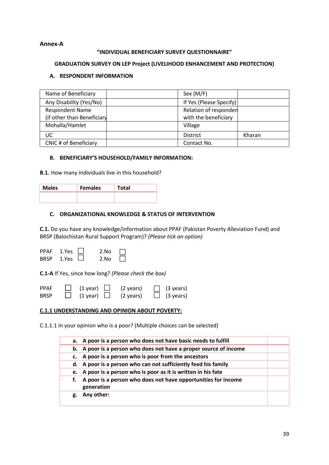## **Annex-A**

## **"INDIVIDUAL BENEFICIARY SURVEY QUESTIONNAIRE"**

#### **GRADUATION SURVEY ON LEP Project (LIVELIHOOD ENHANCEMENT AND PROTECTION)**

## **A. RESPONDENT INFORMATION**

| Name of Beneficiary        | Sex (M/F)               |        |
|----------------------------|-------------------------|--------|
| Any Disability (Yes/No)    | If Yes (Please Specify) |        |
| <b>Respondent Name</b>     | Relation of responden   |        |
| (if other than Beneficiary | with the beneficiary    |        |
| Mohalla/Hamlet             | Village                 |        |
| UC                         | <b>District</b>         | Kharan |
| CNIC # of Beneficiary      | Contact No.             |        |

#### **B. BENEFICIARY'S HOUSEHOLD/FAMILY INFORMATION:**

**B.1.** How many individuals live in this household?

| <b>Males</b> | <b>Females</b> | <b>tal</b> |
|--------------|----------------|------------|
|              |                |            |

#### **C. ORGANIZATIONAL KNOWLEDGE & STATUS OF INTERVENTION**

**C.1.** Do you have any knowledge/information about PPAF (Pakistan Poverty Alleviation Fund) and BRSP (Balochistan Rural Support Program)? *(Please tick an option)*

| BRSP 1.Yes                 | PPAF 1.Yes | 2.No<br>2.No |                                                                                           |  |
|----------------------------|------------|--------------|-------------------------------------------------------------------------------------------|--|
|                            |            |              | <b>C.1-A</b> If Yes, since how long? (Please check the box)                               |  |
| <b>PPAF</b><br><b>BRSP</b> |            |              | $\Box$ (1 year) $\Box$ (2 years) $\Box$ (3 years)<br>$(1$ year) $(2)$ years) $(3)$ years) |  |

#### **C.1.1 UNDERSTANDING AND OPINION ABOUT POVERTY:**

C.1.1.1 In your opinion who is a poor? (Multiple choices can be selected)

| a. A poor is a person who does not have basic needs to fulfill                    |  |
|-----------------------------------------------------------------------------------|--|
| b. A poor is a person who does not have a proper source of income                 |  |
| c. A poor is a person who is poor from the ancestors                              |  |
| d. A poor is a person who can not sufficiently feed his family                    |  |
| e. A poor is a person who is poor as it is written in his fate                    |  |
| A poor is a person who does not have opportunities for income<br>f.<br>generation |  |
| Any other:<br>g.                                                                  |  |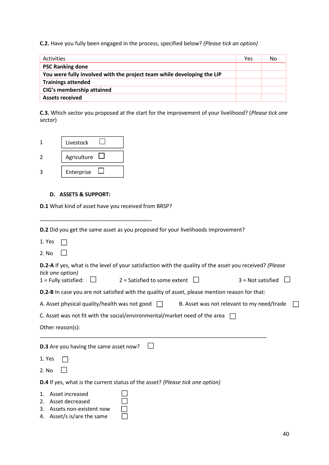**C.2.** Have you fully been engaged in the process, specified below? *(Please tick an option)*

| <b>Activities</b>                                                      | Yes | No |
|------------------------------------------------------------------------|-----|----|
| <b>PSC Ranking done</b>                                                |     |    |
| You were fully involved with the project team while developing the LIP |     |    |
| <b>Trainings attended</b>                                              |     |    |
| CIG's membership attained                                              |     |    |
| <b>Assets received</b>                                                 |     |    |

**C.3.** Which sector you proposed at the start for the improvement of your livelihood? (*Please tick one sector*)

| Livestock   |  |
|-------------|--|
| Agriculture |  |
| Enterprise  |  |

## **D. ASSETS & SUPPORT:**

**D.1** What kind of asset have you received from BRSP?

\_\_\_\_\_\_\_\_\_\_\_\_\_\_\_\_\_\_\_\_\_\_\_\_\_\_\_\_\_\_\_\_\_\_\_\_\_

| <b>D.2</b> Did you get the same asset as you proposed for your livelihoods improvement?                                             |
|-------------------------------------------------------------------------------------------------------------------------------------|
| 1. Yes                                                                                                                              |
| 2. No                                                                                                                               |
| <b>D.2-A</b> If yes, what is the level of your satisfaction with the quality of the asset you received? (Please<br>tick one option) |
| $2$ = Satisfied to some extent<br>$1 =$ Fully satisfied:<br>$3 = Not satisfied$                                                     |
| <b>D.2-B</b> In case you are not satisfied with the quality of asset, please mention reason for that:                               |
| A. Asset physical quality/health was not good $\Box$<br>B. Asset was not relevant to my need/trade                                  |
| C. Asset was not fit with the social/environmental/market need of the area                                                          |
| Other reason(s):                                                                                                                    |
| <b>D.3</b> Are you having the same asset now?                                                                                       |
| 1. Yes                                                                                                                              |
|                                                                                                                                     |
| 2. No                                                                                                                               |
| <b>D.4</b> If yes, what is the current status of the asset? (Please tick one option)                                                |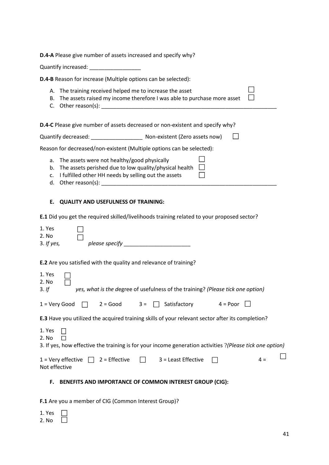| D.4-A Please give number of assets increased and specify why?                                                                                                             |
|---------------------------------------------------------------------------------------------------------------------------------------------------------------------------|
|                                                                                                                                                                           |
| D.4-B Reason for increase (Multiple options can be selected):                                                                                                             |
| A. The training received helped me to increase the asset<br>B. The assets raised my income therefore I was able to purchase more asset                                    |
| D.4-C Please give number of assets decreased or non-existent and specify why?                                                                                             |
|                                                                                                                                                                           |
| Reason for decreased/non-existent (Multiple options can be selected):                                                                                                     |
| a. The assets were not healthy/good physically<br>b. The assets perished due to low quality/physical health<br>I fulfilled other HH needs by selling out the assets<br>c. |
| Е.<br><b>QUALITY AND USEFULNESS OF TRAINING:</b>                                                                                                                          |
| E.1 Did you get the required skilled/livelihoods training related to your proposed sector?                                                                                |
| 1. Yes<br>2. No<br>$3.$ If yes,                                                                                                                                           |
| <b>E.2</b> Are you satisfied with the quality and relevance of training?                                                                                                  |
| 1. Yes<br>2. No<br>yes, what is the degree of usefulness of the training? (Please tick one option)<br>3. If                                                               |
| $\Box$ 2 = Good 3 = $\Box$ Satisfactory 4 = Poor<br>$1 =$ Very Good                                                                                                       |
| <b>E.3</b> Have you utilized the acquired training skills of your relevant sector after its completion?                                                                   |
| 1. Yes                                                                                                                                                                    |

2. No  $\Box$ 

| 3. If yes, how effective the training is for your income generation activities ?(Please tick one option) |
|----------------------------------------------------------------------------------------------------------|
|----------------------------------------------------------------------------------------------------------|

|               |  | 1 = Very effective $\Box$ 2 = Effective $\Box$ 3 = Least Effective $\Box$ |  |  |
|---------------|--|---------------------------------------------------------------------------|--|--|
| Not effective |  |                                                                           |  |  |

## **F. BENEFITS AND IMPORTANCE OF COMMON INTEREST GROUP (CIG):**

**F.1** Are you a member of CIG (Common Interest Group)?

| T. | PS    |  |
|----|-------|--|
|    | 2. No |  |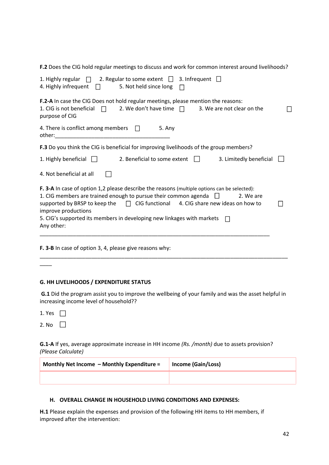**F.2** Does the CIG hold regular meetings to discuss and work for common interest around livelihoods?

| 3. Infrequent $\Box$<br>1. Highly regular $\Box$ 2. Regular to some extent $\Box$<br>4. Highly infrequent $\Box$<br>5. Not held since long<br>$\mathbb{R}^n$                                                                                                                                                                                                                                         |  |
|------------------------------------------------------------------------------------------------------------------------------------------------------------------------------------------------------------------------------------------------------------------------------------------------------------------------------------------------------------------------------------------------------|--|
| <b>F.2-A</b> In case the CIG Does not hold regular meetings, please mention the reasons:<br>1. CIG is not beneficial $\Box$<br>2. We don't have time $\Box$<br>3. We are not clear on the<br>purpose of CIG                                                                                                                                                                                          |  |
| 4. There is conflict among members $\Box$<br>5. Any<br>other: when the contract of the contract of the contract of the contract of the contract of the contract of the contract of the contract of the contract of the contract of the contract of the contract of the contract of th                                                                                                                |  |
| <b>F.3</b> Do you think the CIG is beneficial for improving livelihoods of the group members?                                                                                                                                                                                                                                                                                                        |  |
| 1. Highly beneficial $\Box$<br>2. Beneficial to some extent    <br>3. Limitedly beneficial                                                                                                                                                                                                                                                                                                           |  |
| 4. Not beneficial at all                                                                                                                                                                                                                                                                                                                                                                             |  |
| F. 3-A In case of option 1,2 please describe the reasons (multiple options can be selected):<br>1. CIG members are trained enough to pursue their common agenda $\Box$<br>2. We are<br>supported by BRSP to keep the $\Box$ CIG functional 4. CIG share new ideas on how to<br>improve productions<br>5. CIG's supported its members in developing new linkages with markets<br>$\Box$<br>Any other: |  |
| <b>F. 3-B</b> In case of option 3, 4, please give reasons why:                                                                                                                                                                                                                                                                                                                                       |  |

#### **G. HH LIVELIHOODS / EXPENDITURE STATUS**

**G.1** Did the program assist you to improve the wellbeing of your family and was the asset helpful in increasing income level of household??

1. Yes  $\Box$ 

 $\overline{\phantom{a}}$ 

**G.1-A** If yes, average approximate increase in HH income *(Rs. /month)* due to assets provision? *(Please Calculate)*

| Monthly Net Income - Monthly Expenditure = | Income (Gain/Loss) |
|--------------------------------------------|--------------------|
|                                            |                    |

#### **H. OVERALL CHANGE IN HOUSEHOLD LIVING CONDITIONS AND EXPENSES:**

**H.1** Please explain the expenses and provision of the following HH items to HH members, if improved after the intervention: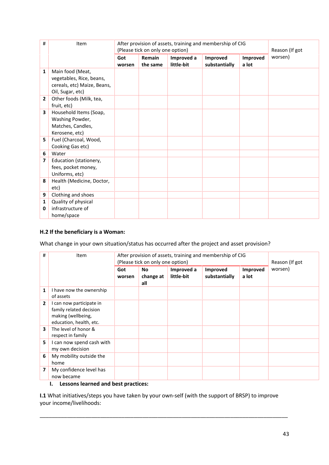| #                       | Item                                                                                            | After provision of assets, training and membership of CIG<br>(Please tick on only one option) |                    |                          |                           | Reason (If got    |         |
|-------------------------|-------------------------------------------------------------------------------------------------|-----------------------------------------------------------------------------------------------|--------------------|--------------------------|---------------------------|-------------------|---------|
|                         |                                                                                                 | Got<br>worsen                                                                                 | Remain<br>the same | Improved a<br>little-bit | Improved<br>substantially | Improved<br>a lot | worsen) |
| $\mathbf{1}$            | Main food (Meat,<br>vegetables, Rice, beans,<br>cereals, etc) Maize, Beans,<br>Oil, Sugar, etc) |                                                                                               |                    |                          |                           |                   |         |
| $\overline{2}$          | Other foods (Milk, tea,<br>fruit, etc)                                                          |                                                                                               |                    |                          |                           |                   |         |
| $\overline{\mathbf{3}}$ | Household Items (Soap,<br>Washing Powder,<br>Matches, Candles,<br>Kerosene, etc)                |                                                                                               |                    |                          |                           |                   |         |
| 5                       | Fuel (Charcoal, Wood,<br>Cooking Gas etc)                                                       |                                                                                               |                    |                          |                           |                   |         |
| 6                       | Water                                                                                           |                                                                                               |                    |                          |                           |                   |         |
| $\overline{\mathbf{z}}$ | Education (stationery,<br>fees, pocket money,<br>Uniforms, etc)                                 |                                                                                               |                    |                          |                           |                   |         |
| 8                       | Health (Medicine, Doctor,<br>etc)                                                               |                                                                                               |                    |                          |                           |                   |         |
| 9                       | Clothing and shoes                                                                              |                                                                                               |                    |                          |                           |                   |         |
| $\mathbf{1}$<br>0       | Quality of physical<br>infrastructure of<br>home/space                                          |                                                                                               |                    |                          |                           |                   |         |

## **H.2 If the beneficiary is a Woman:**

What change in your own situation/status has occurred after the project and asset provision?

| #            | Item                                                                                                 | After provision of assets, training and membership of CIG<br>(Please tick on only one option) |                        |                          |                           |                   | Reason (If got |
|--------------|------------------------------------------------------------------------------------------------------|-----------------------------------------------------------------------------------------------|------------------------|--------------------------|---------------------------|-------------------|----------------|
|              |                                                                                                      | Got<br>worsen                                                                                 | No<br>change at<br>all | Improved a<br>little-bit | Improved<br>substantially | Improved<br>a lot | worsen)        |
| 1            | I have now the ownership<br>of assets                                                                |                                                                                               |                        |                          |                           |                   |                |
| $\mathbf{2}$ | I can now participate in<br>family related decision<br>making (wellbeing,<br>education, health, etc. |                                                                                               |                        |                          |                           |                   |                |
| 3            | The level of honor &<br>respect in family                                                            |                                                                                               |                        |                          |                           |                   |                |
| 5            | I can now spend cash with<br>my own decision                                                         |                                                                                               |                        |                          |                           |                   |                |
| 6            | My mobility outside the<br>home                                                                      |                                                                                               |                        |                          |                           |                   |                |
| 7            | My confidence level has<br>now became                                                                |                                                                                               |                        |                          |                           |                   |                |

## **I. Lessons learned and best practices:**

**I.1** What initiatives/steps you have taken by your own-self (with the support of BRSP) to improve your income/livelihoods:

\_\_\_\_\_\_\_\_\_\_\_\_\_\_\_\_\_\_\_\_\_\_\_\_\_\_\_\_\_\_\_\_\_\_\_\_\_\_\_\_\_\_\_\_\_\_\_\_\_\_\_\_\_\_\_\_\_\_\_\_\_\_\_\_\_\_\_\_\_\_\_\_\_\_\_\_\_\_\_\_\_\_